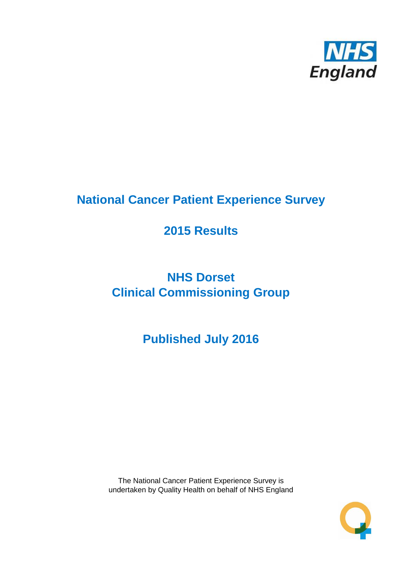

# **National Cancer Patient Experience Survey**

# **2015 Results**

# **NHS Dorset Clinical Commissioning Group**

# **Published July 2016**

The National Cancer Patient Experience Survey is undertaken by Quality Health on behalf of NHS England

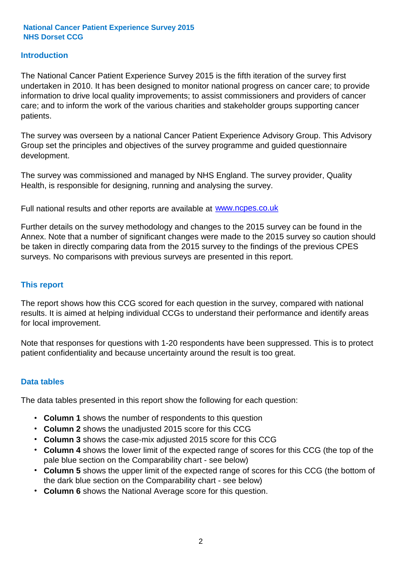### **Introduction**

The National Cancer Patient Experience Survey 2015 is the fifth iteration of the survey first undertaken in 2010. It has been designed to monitor national progress on cancer care; to provide information to drive local quality improvements; to assist commissioners and providers of cancer care; and to inform the work of the various charities and stakeholder groups supporting cancer patients.

The survey was overseen by a national Cancer Patient Experience Advisory Group. This Advisory Group set the principles and objectives of the survey programme and guided questionnaire development.

The survey was commissioned and managed by NHS England. The survey provider, Quality Health, is responsible for designing, running and analysing the survey.

Full national results and other reports are available at www.ncpes.co.uk

Further details on the survey methodology and changes to the 2015 survey can be found in the Annex. Note that a number of significant changes were made to the 2015 survey so caution should be taken in directly comparing data from the 2015 survey to the findings of the previous CPES surveys. No comparisons with previous surveys are presented in this report.

#### **This report**

The report shows how this CCG scored for each question in the survey, compared with national results. It is aimed at helping individual CCGs to understand their performance and identify areas for local improvement.

Note that responses for questions with 1-20 respondents have been suppressed. This is to protect patient confidentiality and because uncertainty around the result is too great.

#### **Data tables**

The data tables presented in this report show the following for each question:

- **Column 1** shows the number of respondents to this question
- **Column 2** shows the unadjusted 2015 score for this CCG
- **Column 3** shows the case-mix adjusted 2015 score for this CCG
- **Column 4** shows the lower limit of the expected range of scores for this CCG (the top of the pale blue section on the Comparability chart - see below)
- **Column 5** shows the upper limit of the expected range of scores for this CCG (the bottom of the dark blue section on the Comparability chart - see below)
- **Column 6** shows the National Average score for this question.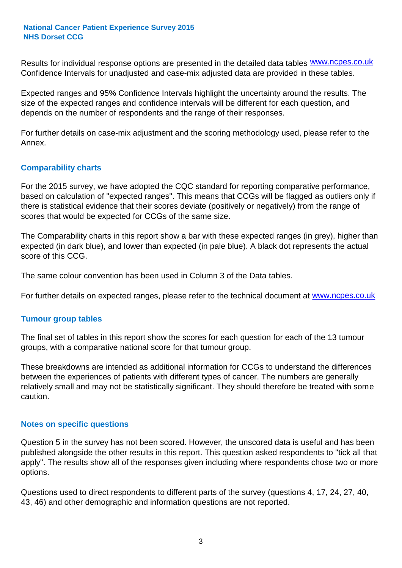Results for individual response options are presented in the detailed data tables **WWW.ncpes.co.uk** Confidence Intervals for unadjusted and case-mix adjusted data are provided in these tables.

Expected ranges and 95% Confidence Intervals highlight the uncertainty around the results. The size of the expected ranges and confidence intervals will be different for each question, and depends on the number of respondents and the range of their responses.

For further details on case-mix adjustment and the scoring methodology used, please refer to the Annex.

#### **Comparability charts**

For the 2015 survey, we have adopted the CQC standard for reporting comparative performance, based on calculation of "expected ranges". This means that CCGs will be flagged as outliers only if there is statistical evidence that their scores deviate (positively or negatively) from the range of scores that would be expected for CCGs of the same size.

The Comparability charts in this report show a bar with these expected ranges (in grey), higher than expected (in dark blue), and lower than expected (in pale blue). A black dot represents the actual score of this CCG.

The same colour convention has been used in Column 3 of the Data tables.

For further details on expected ranges, please refer to the technical document at **www.ncpes.co.uk** 

#### **Tumour group tables**

The final set of tables in this report show the scores for each question for each of the 13 tumour groups, with a comparative national score for that tumour group.

These breakdowns are intended as additional information for CCGs to understand the differences between the experiences of patients with different types of cancer. The numbers are generally relatively small and may not be statistically significant. They should therefore be treated with some caution.

#### **Notes on specific questions**

Question 5 in the survey has not been scored. However, the unscored data is useful and has been published alongside the other results in this report. This question asked respondents to "tick all that apply". The results show all of the responses given including where respondents chose two or more options.

Questions used to direct respondents to different parts of the survey (questions 4, 17, 24, 27, 40, 43, 46) and other demographic and information questions are not reported.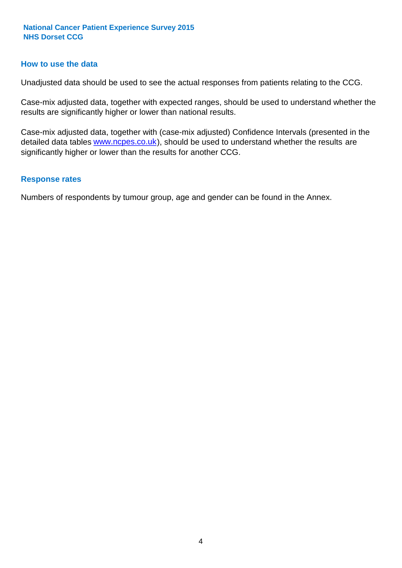#### **How to use the data**

Unadjusted data should be used to see the actual responses from patients relating to the CCG.

Case-mix adjusted data, together with expected ranges, should be used to understand whether the results are significantly higher or lower than national results.

Case-mix adjusted data, together with (case-mix adjusted) Confidence Intervals (presented in the detailed data tables **www.ncpes.co.uk**), should be used to understand whether the results are significantly higher or lower than the results for another CCG.

#### **Response rates**

Numbers of respondents by tumour group, age and gender can be found in the Annex.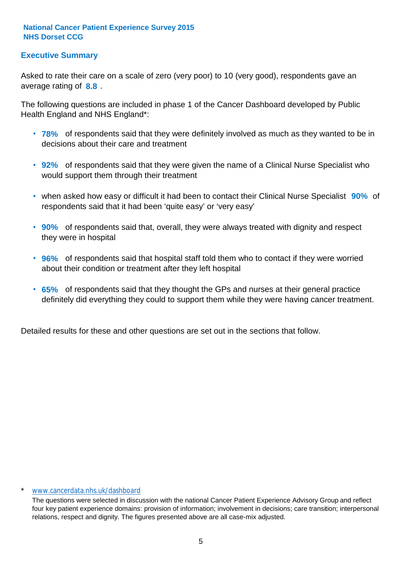### **Executive Summary**

average rating of **8.8**. Asked to rate their care on a scale of zero (very poor) to 10 (very good), respondents gave an

The following questions are included in phase 1 of the Cancer Dashboard developed by Public Health England and NHS England\*:

- **78%** of respondents said that they were definitely involved as much as they wanted to be in decisions about their care and treatment
- **92%** of respondents said that they were given the name of a Clinical Nurse Specialist who would support them through their treatment
- when asked how easy or difficult it had been to contact their Clinical Nurse Specialist 90% of respondents said that it had been 'quite easy' or 'very easy'
- **90%** of respondents said that, overall, they were always treated with dignity and respect they were in hospital
- **96%** of respondents said that hospital staff told them who to contact if they were worried about their condition or treatment after they left hospital
- **65%** of respondents said that they thought the GPs and nurses at their general practice definitely did everything they could to support them while they were having cancer treatment.

Detailed results for these and other questions are set out in the sections that follow.

#### \* www.cancerdata.nhs.uk/dashboard

The questions were selected in discussion with the national Cancer Patient Experience Advisory Group and reflect four key patient experience domains: provision of information; involvement in decisions; care transition; interpersonal relations, respect and dignity. The figures presented above are all case-mix adjusted.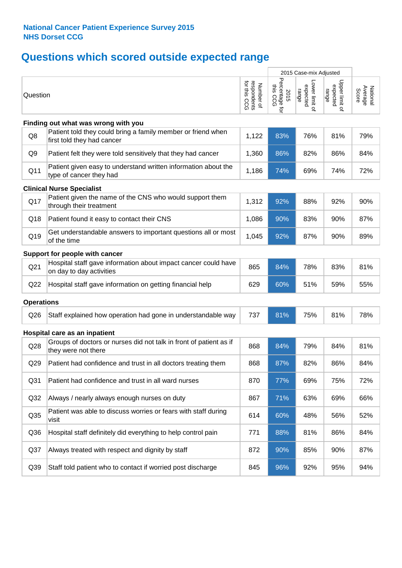# **Questions which scored outside expected range**

|                   |                                                                                            |                                          |                                       | 2015 Case-mix Adjusted              |                                     |                              |
|-------------------|--------------------------------------------------------------------------------------------|------------------------------------------|---------------------------------------|-------------------------------------|-------------------------------------|------------------------------|
| Question          |                                                                                            | respondents<br>for this CCG<br>Number of | Percentage for<br>this<br>2015<br>CCG | Lower limit of<br>expected<br>range | Upper limit of<br>expected<br>range | Average<br>National<br>Score |
|                   | Finding out what was wrong with you                                                        |                                          |                                       |                                     |                                     |                              |
| Q8                | Patient told they could bring a family member or friend when<br>first told they had cancer | 1,122                                    | 83%                                   | 76%                                 | 81%                                 | 79%                          |
| Q9                | Patient felt they were told sensitively that they had cancer                               | 1,360                                    | 86%                                   | 82%                                 | 86%                                 | 84%                          |
| Q11               | Patient given easy to understand written information about the<br>type of cancer they had  | 1,186                                    | 74%                                   | 69%                                 | 74%                                 | 72%                          |
|                   | <b>Clinical Nurse Specialist</b>                                                           |                                          |                                       |                                     |                                     |                              |
| Q17               | Patient given the name of the CNS who would support them<br>through their treatment        | 1,312                                    | 92%                                   | 88%                                 | 92%                                 | 90%                          |
| Q18               | Patient found it easy to contact their CNS                                                 | 1,086                                    | 90%                                   | 83%                                 | 90%                                 | 87%                          |
| Q19               | Get understandable answers to important questions all or most<br>of the time               | 1,045                                    | 92%                                   | 87%                                 | 90%                                 | 89%                          |
|                   | Support for people with cancer                                                             |                                          |                                       |                                     |                                     |                              |
| Q <sub>21</sub>   | Hospital staff gave information about impact cancer could have<br>on day to day activities | 865                                      | 84%                                   | 78%                                 | 83%                                 | 81%                          |
| Q22               | Hospital staff gave information on getting financial help                                  | 629                                      | 60%                                   | 51%                                 | 59%                                 | 55%                          |
| <b>Operations</b> |                                                                                            |                                          |                                       |                                     |                                     |                              |
| Q26               | Staff explained how operation had gone in understandable way                               | 737                                      | 81%                                   | 75%                                 | 81%                                 | 78%                          |
|                   | Hospital care as an inpatient                                                              |                                          |                                       |                                     |                                     |                              |
| Q28               | Groups of doctors or nurses did not talk in front of patient as if<br>they were not there  | 868                                      | 84%                                   | 79%                                 | 84%                                 | 81%                          |
| Q29               | Patient had confidence and trust in all doctors treating them                              | 868                                      | 87%                                   | 82%                                 | 86%                                 | 84%                          |
| Q <sub>31</sub>   | Patient had confidence and trust in all ward nurses                                        | 870                                      | 77%                                   | 69%                                 | 75%                                 | 72%                          |
| Q <sub>32</sub>   | Always / nearly always enough nurses on duty                                               | 867                                      | 71%                                   | 63%                                 | 69%                                 | 66%                          |
| Q35               | Patient was able to discuss worries or fears with staff during<br>visit                    | 614                                      | 60%                                   | 48%                                 | 56%                                 | 52%                          |
| Q36               | Hospital staff definitely did everything to help control pain                              | 771                                      | 88%                                   | 81%                                 | 86%                                 | 84%                          |
| Q <sub>37</sub>   | Always treated with respect and dignity by staff                                           | 872                                      | 90%                                   | 85%                                 | 90%                                 | 87%                          |
| Q39               | Staff told patient who to contact if worried post discharge                                | 845                                      | 96%                                   | 92%                                 | 95%                                 | 94%                          |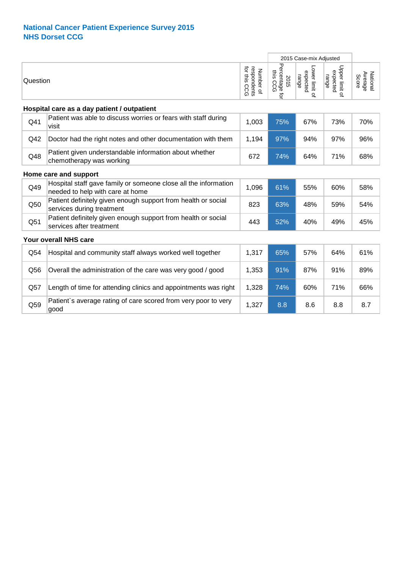|          |                                                                                                     |                                          | 2015 Case-mix Adjusted                              |                                     |                                     |                              |
|----------|-----------------------------------------------------------------------------------------------------|------------------------------------------|-----------------------------------------------------|-------------------------------------|-------------------------------------|------------------------------|
| Question |                                                                                                     | respondents<br>for this CCG<br>Number of | Percentage<br>this<br>2015<br>SC<br>$\Omega$<br>ਕ੍ਰ | Lower limit of<br>expected<br>range | Upper limit of<br>expected<br>range | National<br>Average<br>Score |
|          | Hospital care as a day patient / outpatient                                                         |                                          |                                                     |                                     |                                     |                              |
| Q41      | Patient was able to discuss worries or fears with staff during<br>visit                             | 1,003                                    | 75%                                                 | 67%                                 | 73%                                 | 70%                          |
| Q42      | Doctor had the right notes and other documentation with them                                        | 1,194                                    | 97%                                                 | 94%                                 | 97%                                 | 96%                          |
| Q48      | Patient given understandable information about whether<br>chemotherapy was working                  | 672                                      | 74%                                                 | 64%                                 | 71%                                 | 68%                          |
|          | Home care and support                                                                               |                                          |                                                     |                                     |                                     |                              |
| Q49      | Hospital staff gave family or someone close all the information<br>needed to help with care at home | 1,096                                    | 61%                                                 | 55%                                 | 60%                                 | 58%                          |
| Q50      | Patient definitely given enough support from health or social<br>services during treatment          | 823                                      | 63%                                                 | 48%                                 | 59%                                 | 54%                          |
| Q51      | Patient definitely given enough support from health or social<br>services after treatment           | 443                                      | 52%                                                 | 40%                                 | 49%                                 | 45%                          |
|          | Your overall NHS care                                                                               |                                          |                                                     |                                     |                                     |                              |
| Q54      | Hospital and community staff always worked well together                                            | 1,317                                    | 65%                                                 | 57%                                 | 64%                                 | 61%                          |
| Q56      | Overall the administration of the care was very good / good                                         | 1,353                                    | 91%                                                 | 87%                                 | 91%                                 | 89%                          |
| Q57      | Length of time for attending clinics and appointments was right                                     | 1,328                                    | 74%                                                 | 60%                                 | 71%                                 | 66%                          |
| Q59      | Patient's average rating of care scored from very poor to very<br>good                              | 1,327                                    | 8.8                                                 | 8.6                                 | 8.8                                 | 8.7                          |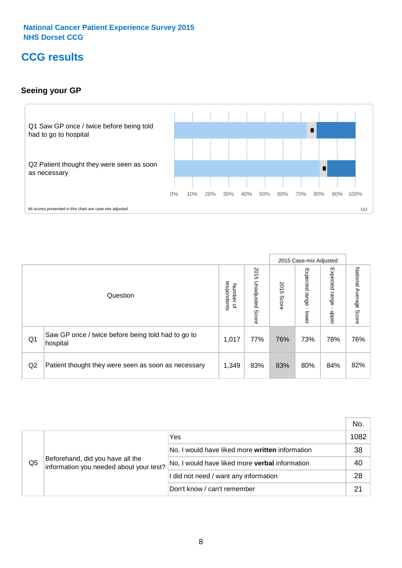# **CCG results**

### **Seeing your GP**



|    |                                                                |                                              |                             |               | 2015 Case-mix Adjusted     |                            |                        |
|----|----------------------------------------------------------------|----------------------------------------------|-----------------------------|---------------|----------------------------|----------------------------|------------------------|
|    | Question                                                       | respondents<br>Number<br>$\overline{\sigma}$ | 2015<br>Unadjusted<br>Score | 2015<br>Score | Expected<br>range<br>lower | Expected<br>range<br>nbber | National Average Score |
| Q1 | Saw GP once / twice before being told had to go to<br>hospital | 1,017                                        | 77%                         | 76%           | 73%                        | 78%                        | 76%                    |
| Q2 | Patient thought they were seen as soon as necessary            | 1,349                                        | 83%                         | 83%           | 80%                        | 84%                        | 82%                    |

|    |                                                                             |                                                 | No.  |
|----|-----------------------------------------------------------------------------|-------------------------------------------------|------|
|    | Beforehand, did you have all the<br>information you needed about your test? | Yes                                             | 1082 |
|    |                                                                             | No, I would have liked more written information | 38   |
| Q5 |                                                                             | No, I would have liked more verbal information  | 40   |
|    |                                                                             | I did not need / want any information           | 28   |
|    |                                                                             | Don't know / can't remember                     | 21   |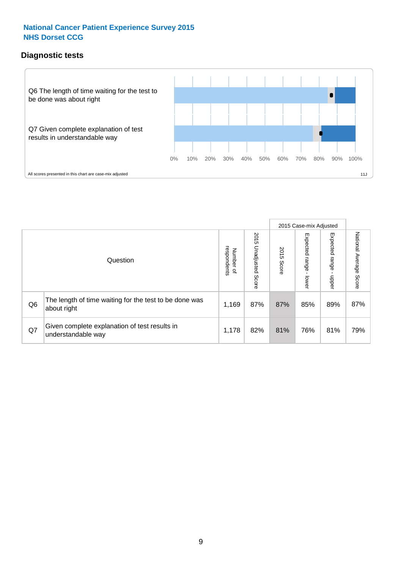### **Diagnostic tests**



|                |                                                                       |                          |                             |               | 2015 Case-mix Adjusted  |                         |                           |
|----------------|-----------------------------------------------------------------------|--------------------------|-----------------------------|---------------|-------------------------|-------------------------|---------------------------|
|                | Question                                                              | Number of<br>respondents | 2015<br>Unadjusted<br>Score | 2015<br>Score | Expected range<br>lower | Expected range<br>nbber | National Average<br>Score |
| Q <sub>6</sub> | The length of time waiting for the test to be done was<br>about right | 1,169                    | 87%                         | 87%           | 85%                     | 89%                     | 87%                       |
| Q7             | Given complete explanation of test results in<br>understandable way   | 1,178                    | 82%                         | 81%           | 76%                     | 81%                     | 79%                       |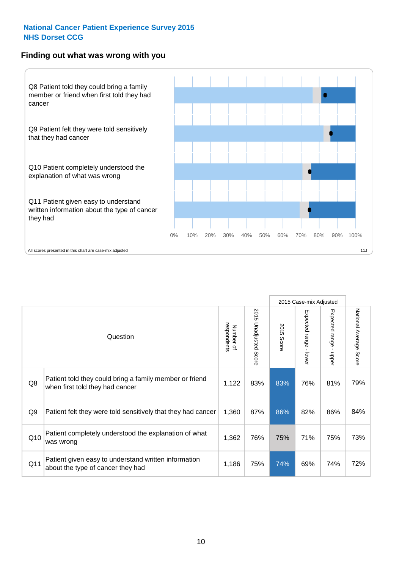#### **Finding out what was wrong with you**



|                |                                                                                            |                          |                       |               | 2015 Case-mix Adjusted                  |                           |                        |
|----------------|--------------------------------------------------------------------------------------------|--------------------------|-----------------------|---------------|-----------------------------------------|---------------------------|------------------------|
|                | Question                                                                                   | respondents<br>Number of | 2015 Unadjusted Score | 2015<br>Score | Expected range<br>$\mathbf{I}$<br>lower | Expected range -<br>nbber | National Average Score |
| Q8             | Patient told they could bring a family member or friend<br>when first told they had cancer | 1,122                    | 83%                   | 83%           | 76%                                     | 81%                       | 79%                    |
| Q <sub>9</sub> | Patient felt they were told sensitively that they had cancer                               | 1,360                    | 87%                   | 86%           | 82%                                     | 86%                       | 84%                    |
| Q10            | Patient completely understood the explanation of what<br>was wrong                         | 1,362                    | 76%                   | 75%           | 71%                                     | 75%                       | 73%                    |
| Q11            | Patient given easy to understand written information<br>about the type of cancer they had  | 1,186                    | 75%                   | 74%           | 69%                                     | 74%                       | 72%                    |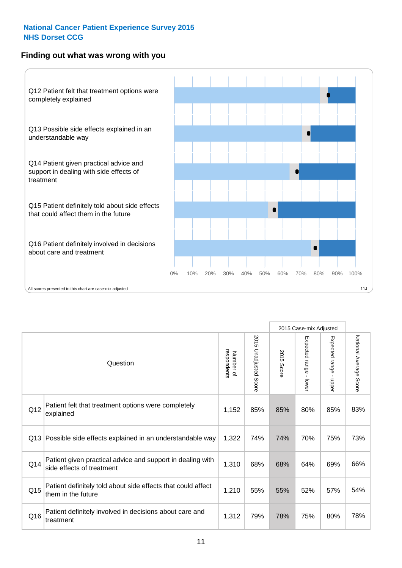### **Finding out what was wrong with you**



|          |                                                                                         |                          |                       |               | 2015 Case-mix Adjusted                  |                        |                        |
|----------|-----------------------------------------------------------------------------------------|--------------------------|-----------------------|---------------|-----------------------------------------|------------------------|------------------------|
| Question |                                                                                         | respondents<br>Number of | 2015 Unadjusted Score | 2015<br>Score | Expected range<br>$\mathbf{r}$<br>lower | Expected range - upper | National Average Score |
| Q12      | Patient felt that treatment options were completely<br>explained                        | 1,152                    | 85%                   | 85%           | 80%                                     | 85%                    | 83%                    |
| Q13      | Possible side effects explained in an understandable way                                | 1,322                    | 74%                   | 74%           | 70%                                     | 75%                    | 73%                    |
| Q14      | Patient given practical advice and support in dealing with<br>side effects of treatment | 1,310                    | 68%                   | 68%           | 64%                                     | 69%                    | 66%                    |
| Q15      | Patient definitely told about side effects that could affect<br>them in the future      | 1,210                    | 55%                   | 55%           | 52%                                     | 57%                    | 54%                    |
| Q16      | Patient definitely involved in decisions about care and<br>treatment                    | 1,312                    | 79%                   | 78%           | 75%                                     | 80%                    | 78%                    |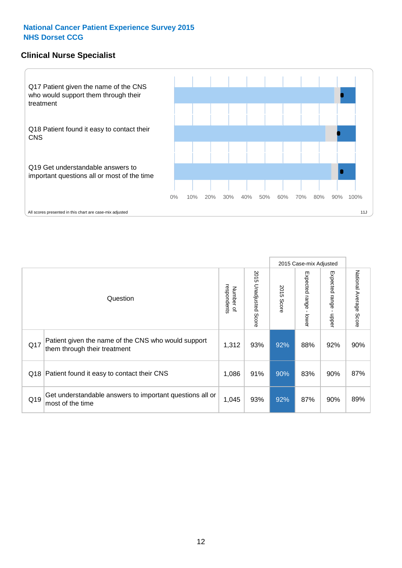#### **Clinical Nurse Specialist**



|     |                                                                                     |                          |                                 | 2015 Case-mix Adjusted |                         |                            |                           |
|-----|-------------------------------------------------------------------------------------|--------------------------|---------------------------------|------------------------|-------------------------|----------------------------|---------------------------|
|     | Question                                                                            | respondents<br>Number of | 2015<br><b>Unadjusted Score</b> | 2015<br>Score          | Expected range<br>lower | Expected<br>uange<br>nbber | National Average<br>Score |
| Q17 | Patient given the name of the CNS who would support<br>them through their treatment | 1,312                    | 93%                             | 92%                    | 88%                     | 92%                        | 90%                       |
| Q18 | Patient found it easy to contact their CNS                                          | 1,086                    | 91%                             | 90%                    | 83%                     | 90%                        | 87%                       |
| Q19 | Get understandable answers to important questions all or<br>most of the time        | 1,045                    | 93%                             | 92%                    | 87%                     | 90%                        | 89%                       |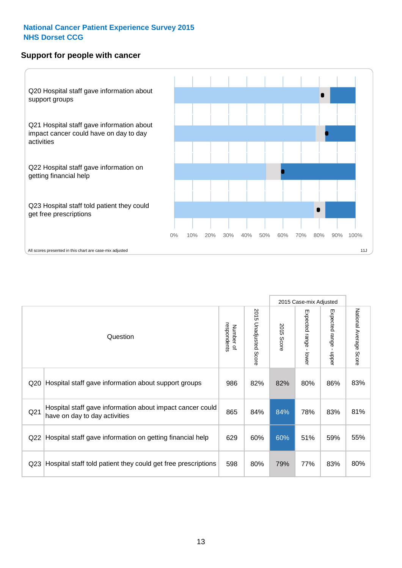#### **Support for people with cancer**



|                 |                                                                                            |                          |                                 |               | 2015 Case-mix Adjusted                    |                           |                        |
|-----------------|--------------------------------------------------------------------------------------------|--------------------------|---------------------------------|---------------|-------------------------------------------|---------------------------|------------------------|
|                 | Question                                                                                   | respondents<br>Number of | 2015<br><b>Unadjusted Score</b> | 2015<br>Score | Expected range<br>$\blacksquare$<br>lower | Expected range<br>- nbber | National Average Score |
| Q20             | Hospital staff gave information about support groups                                       | 986                      | 82%                             | 82%           | 80%                                       | 86%                       | 83%                    |
| Q <sub>21</sub> | Hospital staff gave information about impact cancer could<br>have on day to day activities | 865                      | 84%                             | 84%           | 78%                                       | 83%                       | 81%                    |
| Q22             | Hospital staff gave information on getting financial help                                  | 629                      | 60%                             | 60%           | 51%                                       | 59%                       | 55%                    |
| Q <sub>23</sub> | Hospital staff told patient they could get free prescriptions                              | 598                      | 80%                             | 79%           | 77%                                       | 83%                       | 80%                    |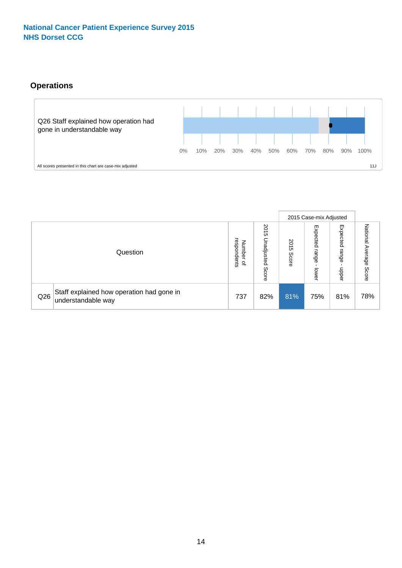## **Operations**



|     |                                                                 |                                       |                             |                    | 2015 Case-mix Adjusted     |                            |                              |
|-----|-----------------------------------------------------------------|---------------------------------------|-----------------------------|--------------------|----------------------------|----------------------------|------------------------------|
|     | Question                                                        | respondents<br>Number<br>$\mathbf{a}$ | 2015<br>Unadjusted<br>Score | 201<br>CΠ<br>Score | Expected<br>range<br>lower | Expected<br>range<br>doper | National<br>Average<br>Score |
| Q26 | Staff explained how operation had gone in<br>understandable way | 737                                   | 82%                         | 81%                | 75%                        | 81%                        | 78%                          |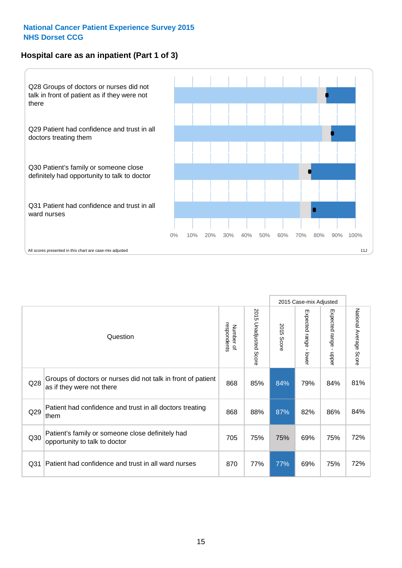### **Hospital care as an inpatient (Part 1 of 3)**



All scores presented in this chart are case-mix adjusted  $11J$ 

|                 |                                                                                           |                          |                          |                      | 2015 Case-mix Adjusted                  |                                           |                        |
|-----------------|-------------------------------------------------------------------------------------------|--------------------------|--------------------------|----------------------|-----------------------------------------|-------------------------------------------|------------------------|
|                 | Question                                                                                  | respondents<br>Number of | 2015<br>Unadjusted Score | 2015<br><b>Score</b> | Expected range<br>$\mathbf{r}$<br>lower | Expected range<br>$\blacksquare$<br>nbber | National Average Score |
| Q <sub>28</sub> | Groups of doctors or nurses did not talk in front of patient<br>as if they were not there | 868                      | 85%                      | 84%                  | 79%                                     | 84%                                       | 81%                    |
| Q29             | Patient had confidence and trust in all doctors treating<br>them                          | 868                      | 88%                      | 87%                  | 82%                                     | 86%                                       | 84%                    |
| Q30             | Patient's family or someone close definitely had<br>opportunity to talk to doctor         | 705                      | 75%                      | 75%                  | 69%                                     | 75%                                       | 72%                    |
| Q <sub>31</sub> | Patient had confidence and trust in all ward nurses                                       | 870                      | 77%                      | 77%                  | 69%                                     | 75%                                       | 72%                    |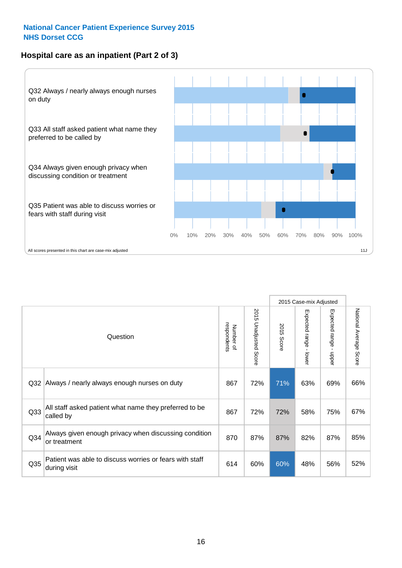### **Hospital care as an inpatient (Part 2 of 3)**



2015 Case-mix Adjusted National Average Score 2015 Unadjusted Score Expected range - lower Expected range - upper National Average Score 2015 Unadjusted Score Expected range - upper Expected range - lower Number of<br>respondents respondents 2015 Score 2015 Score Number of Question Q32 867 72% 71% 63% 69% Always / nearly always enough nurses on duty 66% Q33 867 72% 72% 58% 75% All staff asked patient what name they preferred to be called by 67% Q34 870 87% 87% 82% 87% Always given enough privacy when discussing condition or treatment 85% Patient was able to discuss worries or fears with staff during visit during visit  $\frac{32\%}{80\%}$  of the state of the state  $\frac{32\%}{80\%}$  60%  $\frac{32\%}{80\%}$  56%  $\frac{32\%}{80\%}$ Q35 during visit **180 cm and all contracts** of the state with state 1944 60% 60% 48% 56%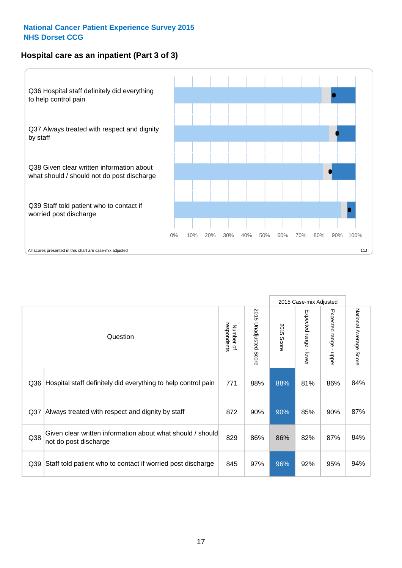### **Hospital care as an inpatient (Part 3 of 3)**



|                 |                                                                                     |                          |                                 |               | 2015 Case-mix Adjusted                    |                         |                        |
|-----------------|-------------------------------------------------------------------------------------|--------------------------|---------------------------------|---------------|-------------------------------------------|-------------------------|------------------------|
|                 | Question                                                                            | respondents<br>Number of | 2015<br><b>Unadjusted Score</b> | 2015<br>Score | Expected range<br>$\blacksquare$<br>lower | Expected range -<br>ddo | National Average Score |
| Q36             | Hospital staff definitely did everything to help control pain                       | 771                      | 88%                             | 88%           | 81%                                       | 86%                     | 84%                    |
| Q <sub>37</sub> | Always treated with respect and dignity by staff                                    | 872                      | 90%                             | 90%           | 85%                                       | 90%                     | 87%                    |
| Q38             | Given clear written information about what should / should<br>not do post discharge | 829                      | 86%                             | 86%           | 82%                                       | 87%                     | 84%                    |
| Q39             | Staff told patient who to contact if worried post discharge                         | 845                      | 97%                             | 96%           | 92%                                       | 95%                     | 94%                    |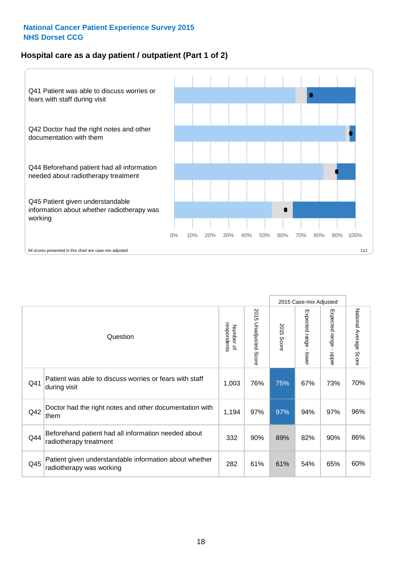### **Hospital care as a day patient / outpatient (Part 1 of 2)**



|     |                                                                                    |                          |                          |               | 2015 Case-mix Adjusted  |                                           |                        |
|-----|------------------------------------------------------------------------------------|--------------------------|--------------------------|---------------|-------------------------|-------------------------------------------|------------------------|
|     | Question                                                                           | respondents<br>Number of | 2015<br>Unadjusted Score | 2015<br>Score | Expected range<br>lower | Expected range<br>$\blacksquare$<br>nbber | National Average Score |
| Q41 | Patient was able to discuss worries or fears with staff<br>during visit            | 1,003                    | 76%                      | 75%           | 67%                     | 73%                                       | 70%                    |
| Q42 | Doctor had the right notes and other documentation with<br>them                    | 1,194                    | 97%                      | 97%           | 94%                     | 97%                                       | 96%                    |
| Q44 | Beforehand patient had all information needed about<br>radiotherapy treatment      | 332                      | 90%                      | 89%           | 82%                     | 90%                                       | 86%                    |
| Q45 | Patient given understandable information about whether<br>radiotherapy was working | 282                      | 61%                      | 61%           | 54%                     | 65%                                       | 60%                    |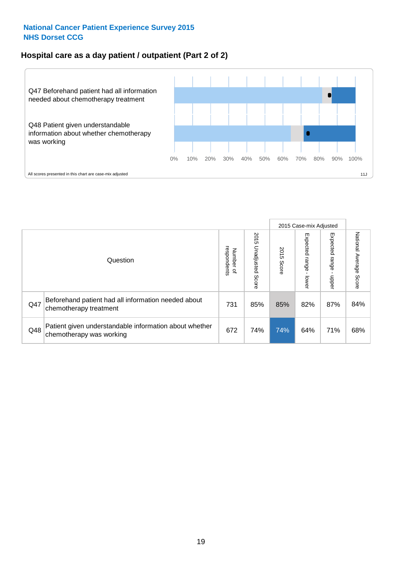# **Hospital care as a day patient / outpatient (Part 2 of 2)**



|     |                                                                                    |                                       |                             |               |                                         | 2015 Case-mix Adjusted     |                           |
|-----|------------------------------------------------------------------------------------|---------------------------------------|-----------------------------|---------------|-----------------------------------------|----------------------------|---------------------------|
|     | Question                                                                           | respondents<br>Number<br>$\mathbf{Q}$ | 2015<br>Unadjusted<br>Score | 2015<br>Score | Expected<br><b>Lange</b><br><b>DWer</b> | Expected<br>range<br>dpper | National Average<br>Score |
| Q47 | Beforehand patient had all information needed about<br>chemotherapy treatment      | 731                                   | 85%                         | 85%           | 82%                                     | 87%                        | 84%                       |
| Q48 | Patient given understandable information about whether<br>chemotherapy was working | 672                                   | 74%                         | 74%           | 64%                                     | 71%                        | 68%                       |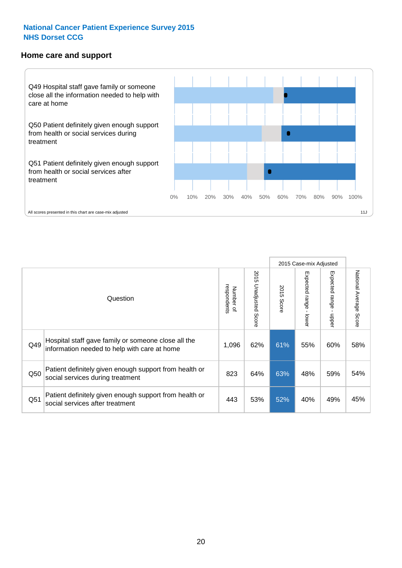#### **Home care and support**



2015 Case-mix Adjusted 2015 Unadjusted Score Expected range - upper National Average Score 2015 Unadjusted Score Expected range - lower National Average Score Expected range - lower Expected range - upper Number of<br>respondents respondents 2015 Score 2015 Score Number of Question Hospital staff gave family or someone close all the Q49 1,096 62% 61% 55% 60% information needed to help with care at home 58% Patient definitely given enough support from health or Q50 social services during treatment 823 64% 63% 48% 59% 54% Patient definitely given enough support from health or Q51 social services after treatment<br>
Q51 social services after treatment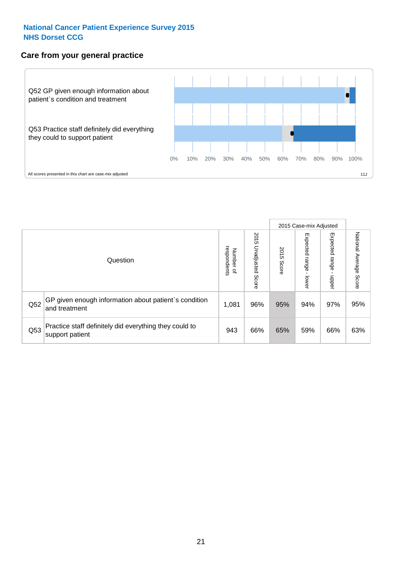#### **Care from your general practice**



|     |                                                                           |                                       |                             |               |                                    | 2015 Case-mix Adjusted     |                           |
|-----|---------------------------------------------------------------------------|---------------------------------------|-----------------------------|---------------|------------------------------------|----------------------------|---------------------------|
|     | Question                                                                  | respondents<br>Number<br>$\mathbf{Q}$ | 2015<br>Unadjusted<br>Score | 2015<br>Score | Expected<br><b>Irange</b><br>lower | Expected<br>range<br>doper | National Average<br>Score |
| Q52 | GP given enough information about patient's condition<br>and treatment    | 1,081                                 | 96%                         | 95%           | 94%                                | 97%                        | 95%                       |
| Q53 | Practice staff definitely did everything they could to<br>support patient | 943                                   | 66%                         | 65%           | 59%                                | 66%                        | 63%                       |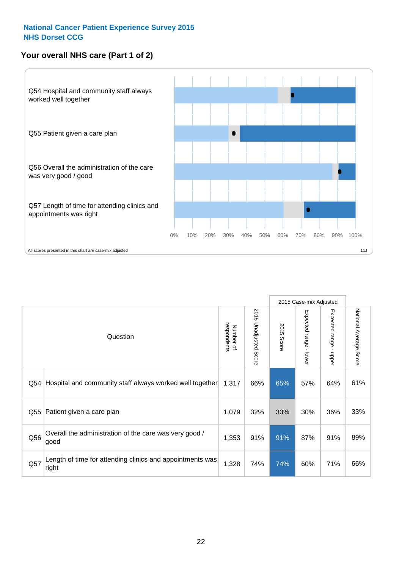### **Your overall NHS care (Part 1 of 2)**



|     |                                                                    |                          |                          |               | 2015 Case-mix Adjusted                    |                                           |                        |
|-----|--------------------------------------------------------------------|--------------------------|--------------------------|---------------|-------------------------------------------|-------------------------------------------|------------------------|
|     | Question                                                           | respondents<br>Number of | 2015<br>Unadjusted Score | 2015<br>Score | Expected range<br>$\blacksquare$<br>lower | Expected range<br>$\blacksquare$<br>nbber | National Average Score |
| Q54 | Hospital and community staff always worked well together           | 1,317                    | 66%                      | 65%           | 57%                                       | 64%                                       | 61%                    |
| Q55 | Patient given a care plan                                          | 1,079                    | 32%                      | 33%           | 30%                                       | 36%                                       | 33%                    |
| Q56 | Overall the administration of the care was very good /<br>good     | 1,353                    | 91%                      | 91%           | 87%                                       | 91%                                       | 89%                    |
| Q57 | Length of time for attending clinics and appointments was<br>right | 1,328                    | 74%                      | 74%           | 60%                                       | 71%                                       | 66%                    |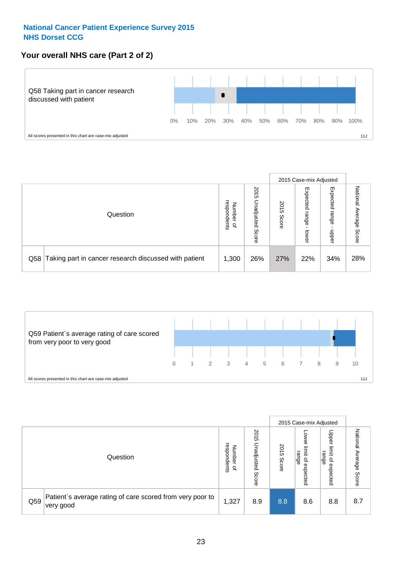### **Your overall NHS care (Part 2 of 2)**



|     |                                                       |                                              |                             |               |                            | 2015 Case-mix Adjusted     |                        |
|-----|-------------------------------------------------------|----------------------------------------------|-----------------------------|---------------|----------------------------|----------------------------|------------------------|
|     | Question                                              | respondents<br>Number<br>$\overline{\sigma}$ | 2015<br>Unadjusted<br>Score | 2015<br>Score | Expected<br>range<br>lower | Expected<br>range<br>doper | National Average Score |
| Q58 | Taking part in cancer research discussed with patient | 1,300                                        | 26%                         | 27%           | 22%                        | 34%                        | 28%                    |



|     |                                                                        |                                              |                             |               |                                           | 2015 Case-mix Adjusted                                          |                              |
|-----|------------------------------------------------------------------------|----------------------------------------------|-----------------------------|---------------|-------------------------------------------|-----------------------------------------------------------------|------------------------------|
|     | Question                                                               | respondents<br>Number<br>$\overline{\sigma}$ | 2015<br>Jnadjusted<br>Score | 2015<br>Score | OWer<br>limit<br>range<br>਼੍ਰ<br>expected | Upper<br>limit<br>range<br>$\overline{\mathcal{C}}$<br>expected | National<br>Average<br>Score |
| Q59 | Patient's average rating of care scored from very poor to<br>very good | 1,327                                        | 8.9                         | 8.8           | 8.6                                       | 8.8                                                             | 8.7                          |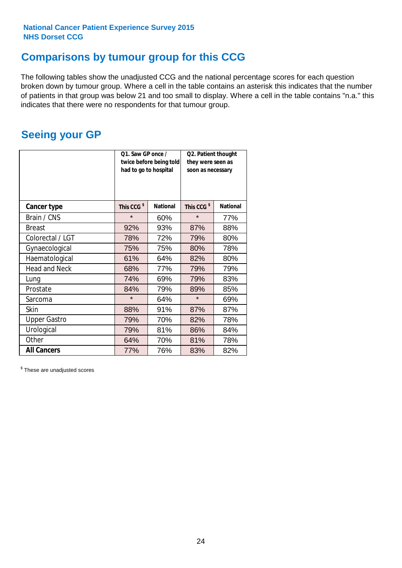# **Comparisons by tumour group for this CCG**

The following tables show the unadjusted CCG and the national percentage scores for each question broken down by tumour group. Where a cell in the table contains an asterisk this indicates that the number of patients in that group was below 21 and too small to display. Where a cell in the table contains "n.a." this indicates that there were no respondents for that tumour group.

# **Seeing your GP**

|                      | Q1. Saw GP once /<br>had to go to hospital | twice before being told | Q2. Patient thought<br>they were seen as<br>soon as necessary |                 |  |
|----------------------|--------------------------------------------|-------------------------|---------------------------------------------------------------|-----------------|--|
| <b>Cancer type</b>   | This CCG <sup>\$</sup>                     | <b>National</b>         | This CCG <sup>\$</sup>                                        | <b>National</b> |  |
| Brain / CNS          | $\star$                                    | 60%                     | $\star$                                                       | 77%             |  |
| <b>Breast</b>        | 92%                                        | 93%                     | 87%                                                           | 88%             |  |
| Colorectal / LGT     | 78%                                        | 72%                     | 79%                                                           | 80%             |  |
| Gynaecological       | 75%                                        | 75%                     | 80%                                                           | 78%             |  |
| Haematological       | 61%                                        | 64%                     | 82%                                                           | 80%             |  |
| <b>Head and Neck</b> | 68%                                        | 77%                     | 79%                                                           | 79%             |  |
| Lung                 | 74%                                        | 69%                     | 79%                                                           | 83%             |  |
| Prostate             | 84%                                        | 79%                     | 89%                                                           | 85%             |  |
| Sarcoma              | $\star$                                    | 64%                     | $\star$                                                       | 69%             |  |
| <b>Skin</b>          | 88%                                        | 91%                     | 87%                                                           | 87%             |  |
| <b>Upper Gastro</b>  | 79%                                        | 70%                     | 82%                                                           | 78%             |  |
| Urological           | 79%                                        | 81%                     | 86%                                                           | 84%             |  |
| Other                | 64%                                        | 70%                     | 81%                                                           | 78%             |  |
| <b>All Cancers</b>   | 77%                                        | 76%                     | 83%                                                           | 82%             |  |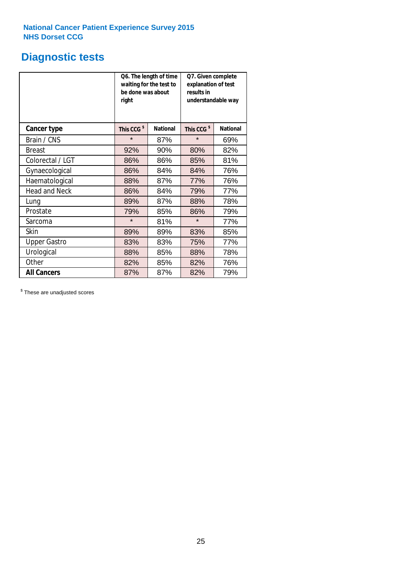# **Diagnostic tests**

|                      | be done was about<br>right | Q6. The length of time<br>waiting for the test to | Q7. Given complete<br>explanation of test<br>results in<br>understandable way |                 |  |
|----------------------|----------------------------|---------------------------------------------------|-------------------------------------------------------------------------------|-----------------|--|
| <b>Cancer type</b>   | This CCG <sup>\$</sup>     | <b>National</b>                                   | This CCG <sup>\$</sup>                                                        | <b>National</b> |  |
| Brain / CNS          | $\star$                    | 87%                                               | $\star$                                                                       | 69%             |  |
| <b>Breast</b>        | 92%                        | 90%                                               | 80%                                                                           | 82%             |  |
| Colorectal / LGT     | 86%                        | 86%                                               | 85%                                                                           | 81%             |  |
| Gynaecological       | 86%                        | 84%                                               | 84%                                                                           | 76%             |  |
| Haematological       | 88%                        | 87%                                               | 77%                                                                           | 76%             |  |
| <b>Head and Neck</b> | 86%                        | 84%                                               | 79%                                                                           | 77%             |  |
| Lung                 | 89%                        | 87%                                               | 88%                                                                           | 78%             |  |
| Prostate             | 79%                        | 85%                                               | 86%                                                                           | 79%             |  |
| Sarcoma              | $\star$                    | 81%                                               | $\star$                                                                       | 77%             |  |
| Skin                 | 89%                        | 89%                                               | 83%                                                                           | 85%             |  |
| <b>Upper Gastro</b>  | 83%                        | 83%                                               | 75%                                                                           | 77%             |  |
| Urological           | 88%                        | 85%                                               | 88%                                                                           | 78%             |  |
| Other                | 82%                        | 85%                                               | 82%                                                                           | 76%             |  |
| <b>All Cancers</b>   | 87%                        | 87%                                               | 82%                                                                           | 79%             |  |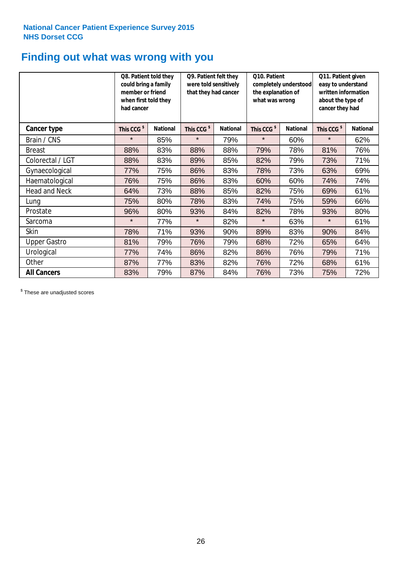# **Finding out what was wrong with you**

|                      | Q8. Patient told they<br>could bring a family<br>member or friend<br>when first told they<br>had cancer |                 | Q9. Patient felt they<br>were told sensitively<br>that they had cancer |                 | Q10. Patient<br>completely understood<br>the explanation of<br>what was wrong |                 | Q11. Patient given<br>easy to understand<br>written information<br>about the type of<br>cancer they had |                 |
|----------------------|---------------------------------------------------------------------------------------------------------|-----------------|------------------------------------------------------------------------|-----------------|-------------------------------------------------------------------------------|-----------------|---------------------------------------------------------------------------------------------------------|-----------------|
| Cancer type          | This CCG <sup>\$</sup>                                                                                  | <b>National</b> | This CCG <sup>\$</sup>                                                 | <b>National</b> | This CCG <sup>\$</sup>                                                        | <b>National</b> | This CCG <sup>\$</sup>                                                                                  | <b>National</b> |
| Brain / CNS          | $\star$                                                                                                 | 85%             | $\star$                                                                | 79%             | $\star$                                                                       | 60%             | $\star$                                                                                                 | 62%             |
| <b>Breast</b>        | 88%                                                                                                     | 83%             | 88%                                                                    | 88%             | 79%                                                                           | 78%             | 81%                                                                                                     | 76%             |
| Colorectal / LGT     | 88%                                                                                                     | 83%             | 89%                                                                    | 85%             | 82%                                                                           | 79%             | 73%                                                                                                     | 71%             |
| Gynaecological       | 77%                                                                                                     | 75%             | 86%                                                                    | 83%             | 78%                                                                           | 73%             | 63%                                                                                                     | 69%             |
| Haematological       | 76%                                                                                                     | 75%             | 86%                                                                    | 83%             | 60%                                                                           | 60%             | 74%                                                                                                     | 74%             |
| <b>Head and Neck</b> | 64%                                                                                                     | 73%             | 88%                                                                    | 85%             | 82%                                                                           | 75%             | 69%                                                                                                     | 61%             |
| Lung                 | 75%                                                                                                     | 80%             | 78%                                                                    | 83%             | 74%                                                                           | 75%             | 59%                                                                                                     | 66%             |
| Prostate             | 96%                                                                                                     | 80%             | 93%                                                                    | 84%             | 82%                                                                           | 78%             | 93%                                                                                                     | 80%             |
| Sarcoma              | $\star$                                                                                                 | 77%             | $\star$                                                                | 82%             | $\star$                                                                       | 63%             | $\star$                                                                                                 | 61%             |
| Skin                 | 78%                                                                                                     | 71%             | 93%                                                                    | 90%             | 89%                                                                           | 83%             | 90%                                                                                                     | 84%             |
| <b>Upper Gastro</b>  | 81%                                                                                                     | 79%             | 76%                                                                    | 79%             | 68%                                                                           | 72%             | 65%                                                                                                     | 64%             |
| Urological           | 77%                                                                                                     | 74%             | 86%                                                                    | 82%             | 86%                                                                           | 76%             | 79%                                                                                                     | 71%             |
| Other                | 87%                                                                                                     | 77%             | 83%                                                                    | 82%             | 76%                                                                           | 72%             | 68%                                                                                                     | 61%             |
| <b>All Cancers</b>   | 83%                                                                                                     | 79%             | 87%                                                                    | 84%             | 76%                                                                           | 73%             | 75%                                                                                                     | 72%             |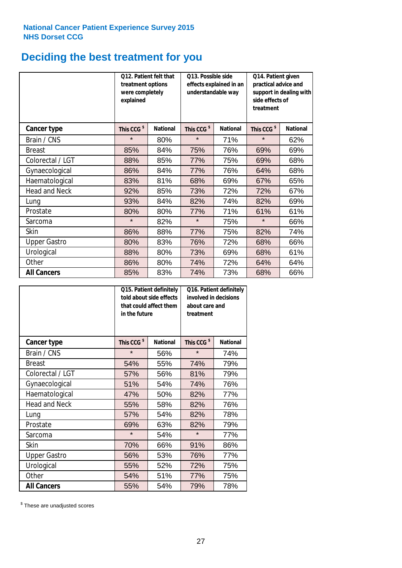# **Deciding the best treatment for you**

|                      | treatment options<br>were completely<br>explained | Q12. Patient felt that | Q13. Possible side<br>understandable way | effects explained in an | Q14. Patient given<br>practical advice and<br>support in dealing with<br>side effects of<br>treatment |                 |  |
|----------------------|---------------------------------------------------|------------------------|------------------------------------------|-------------------------|-------------------------------------------------------------------------------------------------------|-----------------|--|
| <b>Cancer type</b>   | This CCG <sup>\$</sup>                            | <b>National</b>        | This CCG <sup>\$</sup>                   | <b>National</b>         | This CCG <sup>\$</sup>                                                                                | <b>National</b> |  |
| Brain / CNS          | $\star$                                           | 80%                    | $\star$                                  | 71%                     | $\star$                                                                                               | 62%             |  |
| <b>Breast</b>        | 85%                                               | 84%                    | 75%                                      | 76%                     | 69%                                                                                                   | 69%             |  |
| Colorectal / LGT     | 88%                                               | 85%                    | 77%                                      | 75%                     | 69%                                                                                                   | 68%             |  |
| Gynaecological       | 86%                                               | 84%                    | 77%                                      | 76%                     | 64%                                                                                                   | 68%             |  |
| Haematological       | 83%                                               | 81%                    | 68%                                      | 69%                     | 67%                                                                                                   | 65%             |  |
| <b>Head and Neck</b> | 92%                                               | 85%                    | 73%                                      | 72%                     | 72%                                                                                                   | 67%             |  |
| Lung                 | 93%                                               | 84%                    | 82%                                      | 74%                     | 82%                                                                                                   | 69%             |  |
| Prostate             | 80%                                               | 80%                    | 77%                                      | 71%                     | 61%                                                                                                   | 61%             |  |
| Sarcoma              | $\star$                                           | 82%                    | $\star$                                  | 75%                     | $\star$                                                                                               | 66%             |  |
| Skin                 | 86%                                               | 88%                    | 77%                                      | 75%                     | 82%                                                                                                   | 74%             |  |
| <b>Upper Gastro</b>  | 80%                                               | 83%                    | 76%                                      | 72%                     | 68%                                                                                                   | 66%             |  |
| Urological           | 88%                                               | 80%                    | 73%                                      | 69%                     | 68%                                                                                                   | 61%             |  |
| Other                | 86%                                               | 80%                    | 74%                                      | 72%                     | 64%                                                                                                   | 64%             |  |
| <b>All Cancers</b>   | 85%                                               | 83%                    | 74%                                      | 73%                     | 68%                                                                                                   | 66%             |  |

|                      | in the future          | Q15. Patient definitely<br>told about side effects<br>that could affect them | Q16. Patient definitely<br>involved in decisions<br>about care and<br>treatment |                 |  |
|----------------------|------------------------|------------------------------------------------------------------------------|---------------------------------------------------------------------------------|-----------------|--|
| <b>Cancer type</b>   | This CCG <sup>\$</sup> | <b>National</b>                                                              | This CCG <sup>\$</sup>                                                          | <b>National</b> |  |
| Brain / CNS          | $\star$                | 56%                                                                          | $\star$                                                                         | 74%             |  |
| <b>Breast</b>        | 54%                    | 55%                                                                          | 74%                                                                             | 79%             |  |
| Colorectal / LGT     | 57%                    | 56%                                                                          | 81%                                                                             | 79%             |  |
| Gynaecological       | 51%                    | 54%                                                                          | 74%                                                                             | 76%             |  |
| Haematological       | 47%                    | 50%                                                                          | 82%                                                                             | 77%             |  |
| <b>Head and Neck</b> | 55%                    | 58%                                                                          | 82%                                                                             | 76%             |  |
| Lung                 | 57%                    | 54%                                                                          | 82%                                                                             | 78%             |  |
| Prostate             | 69%                    | 63%                                                                          | 82%                                                                             | 79%             |  |
| Sarcoma              | $\star$                | 54%                                                                          | $\star$                                                                         | 77%             |  |
| Skin                 | 70%                    | 66%                                                                          | 91%                                                                             | 86%             |  |
| <b>Upper Gastro</b>  | 56%                    | 53%                                                                          | 76%                                                                             | 77%             |  |
| Urological           | 55%                    | 52%                                                                          | 72%                                                                             | 75%             |  |
| Other                | 54%                    | 51%                                                                          | 77%                                                                             | 75%             |  |
| <b>All Cancers</b>   | 55%                    | 54%                                                                          | 79%                                                                             | 78%             |  |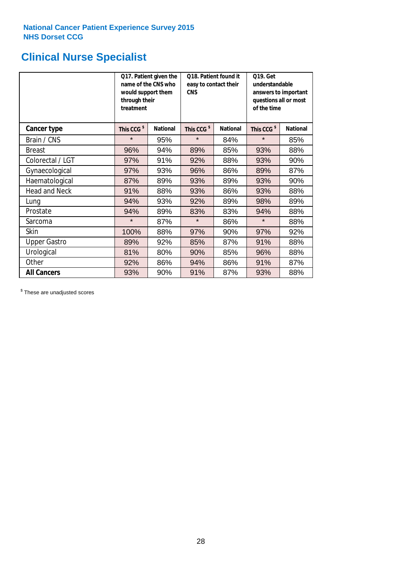# **Clinical Nurse Specialist**

|                      | would support them<br>through their<br>treatment | Q17. Patient given the<br>name of the CNS who | Q18. Patient found it<br>easy to contact their<br><b>CNS</b> |                 | <b>Q19. Get</b><br>understandable<br>answers to important<br>questions all or most<br>of the time |                 |  |
|----------------------|--------------------------------------------------|-----------------------------------------------|--------------------------------------------------------------|-----------------|---------------------------------------------------------------------------------------------------|-----------------|--|
| <b>Cancer type</b>   | This CCG <sup>\$</sup>                           | <b>National</b>                               | This CCG <sup>\$</sup>                                       | <b>National</b> | This CCG <sup>\$</sup>                                                                            | <b>National</b> |  |
| Brain / CNS          | $\star$                                          | 95%                                           | $\star$                                                      | 84%             | $\star$                                                                                           | 85%             |  |
| <b>Breast</b>        | 96%                                              | 94%                                           | 89%                                                          | 85%             | 93%                                                                                               | 88%             |  |
| Colorectal / LGT     | 97%                                              | 91%                                           | 92%                                                          | 88%             | 93%                                                                                               | 90%             |  |
| Gynaecological       | 97%                                              | 93%                                           | 96%                                                          | 86%             | 89%                                                                                               | 87%             |  |
| Haematological       | 87%                                              | 89%                                           | 93%                                                          | 89%             | 93%                                                                                               | 90%             |  |
| <b>Head and Neck</b> | 91%                                              | 88%                                           | 93%                                                          | 86%             | 93%                                                                                               | 88%             |  |
| Lung                 | 94%                                              | 93%                                           | 92%                                                          | 89%             | 98%                                                                                               | 89%             |  |
| Prostate             | 94%                                              | 89%                                           | 83%                                                          | 83%             | 94%                                                                                               | 88%             |  |
| Sarcoma              | $\star$                                          | 87%                                           | $\star$                                                      | 86%             | $\star$                                                                                           | 88%             |  |
| Skin                 | 100%                                             | 88%                                           | 97%                                                          | 90%             | 97%                                                                                               | 92%             |  |
| <b>Upper Gastro</b>  | 89%                                              | 92%                                           | 85%                                                          | 87%             | 91%                                                                                               | 88%             |  |
| Urological           | 81%                                              | 80%                                           | 90%                                                          | 85%             | 96%                                                                                               | 88%             |  |
| Other                | 92%                                              | 86%                                           | 94%                                                          | 86%             | 91%                                                                                               | 87%             |  |
| <b>All Cancers</b>   | 93%                                              | 90%                                           | 91%                                                          | 87%             | 93%                                                                                               | 88%             |  |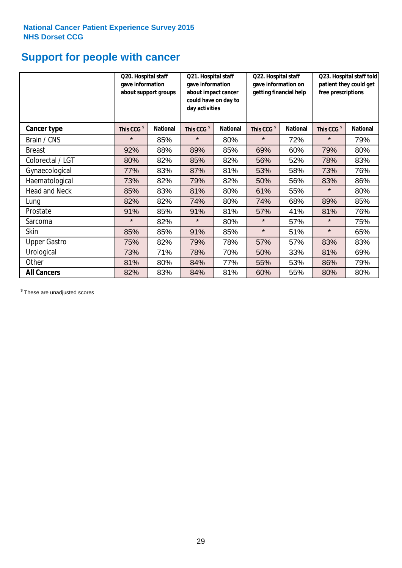# **Support for people with cancer**

|                      |                        | Q20. Hospital staff<br>Q21. Hospital staff<br>gave information<br>gave information<br>about support groups<br>about impact cancer<br>could have on day to<br>day activities |                        |                 | Q22. Hospital staff<br>gave information on<br>getting financial help |                 | Q23. Hospital staff told<br>patient they could get<br>free prescriptions |                 |
|----------------------|------------------------|-----------------------------------------------------------------------------------------------------------------------------------------------------------------------------|------------------------|-----------------|----------------------------------------------------------------------|-----------------|--------------------------------------------------------------------------|-----------------|
| <b>Cancer type</b>   | This CCG <sup>\$</sup> | <b>National</b>                                                                                                                                                             | This CCG <sup>\$</sup> | <b>National</b> | This CCG <sup>\$</sup>                                               | <b>National</b> | This CCG <sup>\$</sup>                                                   | <b>National</b> |
| Brain / CNS          | $\star$                | 85%                                                                                                                                                                         | $\star$                | 80%             | $\star$                                                              | 72%             | $\star$                                                                  | 79%             |
| <b>Breast</b>        | 92%                    | 88%                                                                                                                                                                         | 89%                    | 85%             | 69%                                                                  | 60%             | 79%                                                                      | 80%             |
| Colorectal / LGT     | 80%                    | 82%                                                                                                                                                                         | 85%                    | 82%             | 56%                                                                  | 52%             | 78%                                                                      | 83%             |
| Gynaecological       | 77%                    | 83%                                                                                                                                                                         | 87%                    | 81%             | 53%                                                                  | 58%             | 73%                                                                      | 76%             |
| Haematological       | 73%                    | 82%                                                                                                                                                                         | 79%                    | 82%             | 50%                                                                  | 56%             | 83%                                                                      | 86%             |
| <b>Head and Neck</b> | 85%                    | 83%                                                                                                                                                                         | 81%                    | 80%             | 61%                                                                  | 55%             | $\star$                                                                  | 80%             |
| Lung                 | 82%                    | 82%                                                                                                                                                                         | 74%                    | 80%             | 74%                                                                  | 68%             | 89%                                                                      | 85%             |
| Prostate             | 91%                    | 85%                                                                                                                                                                         | 91%                    | 81%             | 57%                                                                  | 41%             | 81%                                                                      | 76%             |
| Sarcoma              | $\star$                | 82%                                                                                                                                                                         | $\star$                | 80%             | $\star$                                                              | 57%             | $\star$                                                                  | 75%             |
| Skin                 | 85%                    | 85%                                                                                                                                                                         | 91%                    | 85%             | $\star$                                                              | 51%             | $\star$                                                                  | 65%             |
| <b>Upper Gastro</b>  | 75%                    | 82%                                                                                                                                                                         | 79%                    | 78%             | 57%                                                                  | 57%             | 83%                                                                      | 83%             |
| Urological           | 73%                    | 71%                                                                                                                                                                         | 78%                    | 70%             | 50%                                                                  | 33%             | 81%                                                                      | 69%             |
| Other                | 81%                    | 80%                                                                                                                                                                         | 84%                    | 77%             | 55%                                                                  | 53%             | 86%                                                                      | 79%             |
| <b>All Cancers</b>   | 82%                    | 83%                                                                                                                                                                         | 84%                    | 81%             | 60%                                                                  | 55%             | 80%                                                                      | 80%             |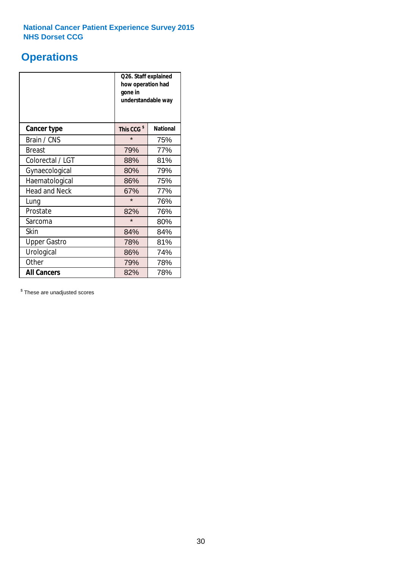# **Operations**

|                      | Q26. Staff explained<br>how operation had<br>gone in<br>understandable way |                 |  |  |  |
|----------------------|----------------------------------------------------------------------------|-----------------|--|--|--|
| <b>Cancer type</b>   | This CCG <sup>\$</sup>                                                     | <b>National</b> |  |  |  |
| Brain / CNS          | $\star$                                                                    | 75%             |  |  |  |
| <b>Breast</b>        | 79%                                                                        | 77%             |  |  |  |
| Colorectal / LGT     | 88%                                                                        | 81%             |  |  |  |
| Gynaecological       | 80%                                                                        | 79%             |  |  |  |
| Haematological       | 86%                                                                        | 75%             |  |  |  |
| <b>Head and Neck</b> | 67%                                                                        | 77%             |  |  |  |
| Lung                 | $\star$                                                                    | 76%             |  |  |  |
| Prostate             | 82%                                                                        | 76%             |  |  |  |
| Sarcoma              | $\star$                                                                    | 80%             |  |  |  |
| Skin                 | 84%                                                                        | 84%             |  |  |  |
| <b>Upper Gastro</b>  | 78%                                                                        | 81%             |  |  |  |
| Urological           | 86%                                                                        | 74%             |  |  |  |
| Other                | 79%                                                                        | 78%             |  |  |  |
| <b>All Cancers</b>   | 82%                                                                        | 78%             |  |  |  |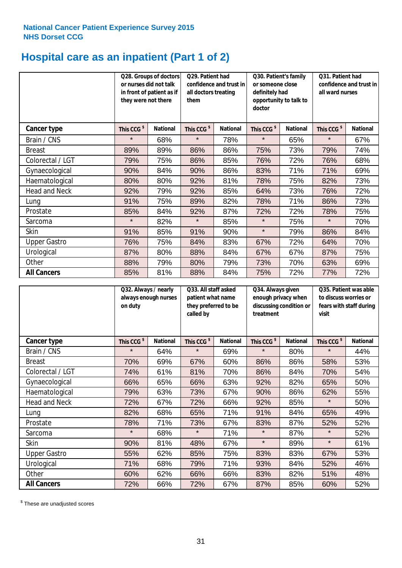# **Hospital care as an inpatient (Part 1 of 2)**

|                      | or nurses did not talk<br>they were not there | Q28. Groups of doctors<br>in front of patient as if | Q29. Patient had<br>confidence and trust in<br>all doctors treating<br>them |                 | Q30. Patient's family<br>or someone close<br>definitely had<br>opportunity to talk to<br>doctor |                 | Q31. Patient had<br>confidence and trust in I<br>all ward nurses |                 |
|----------------------|-----------------------------------------------|-----------------------------------------------------|-----------------------------------------------------------------------------|-----------------|-------------------------------------------------------------------------------------------------|-----------------|------------------------------------------------------------------|-----------------|
| Cancer type          | This CCG <sup>\$</sup>                        | <b>National</b>                                     | This CCG <sup>\$</sup>                                                      | <b>National</b> | This CCG <sup>\$</sup>                                                                          | <b>National</b> | This CCG <sup>\$</sup>                                           | <b>National</b> |
| Brain / CNS          | $\star$                                       | 68%                                                 | $\star$                                                                     | 78%             | $\star$                                                                                         | 65%             | $\star$                                                          | 67%             |
| <b>Breast</b>        | 89%                                           | 89%                                                 | 86%                                                                         | 86%             | 75%                                                                                             | 73%             | 79%                                                              | 74%             |
| Colorectal / LGT     | 79%                                           | 75%                                                 | 86%                                                                         | 85%             | 76%                                                                                             | 72%             | 76%                                                              | 68%             |
| Gynaecological       | 90%                                           | 84%                                                 | 90%                                                                         | 86%             | 83%                                                                                             | 71%             | 71%                                                              | 69%             |
| Haematological       | 80%                                           | 80%                                                 | 92%                                                                         | 81%             | 78%                                                                                             | 75%             | 82%                                                              | 73%             |
| <b>Head and Neck</b> | 92%                                           | 79%                                                 | 92%                                                                         | 85%             | 64%                                                                                             | 73%             | 76%                                                              | 72%             |
| Lung                 | 91%                                           | 75%                                                 | 89%                                                                         | 82%             | 78%                                                                                             | 71%             | 86%                                                              | 73%             |
| Prostate             | 85%                                           | 84%                                                 | 92%                                                                         | 87%             | 72%                                                                                             | 72%             | 78%                                                              | 75%             |
| Sarcoma              | $\star$                                       | 82%                                                 | $\star$                                                                     | 85%             | $\star$                                                                                         | 75%             | $\star$                                                          | 70%             |
| Skin                 | 91%                                           | 85%                                                 | 91%                                                                         | 90%             | $\star$                                                                                         | 79%             | 86%                                                              | 84%             |
| <b>Upper Gastro</b>  | 76%                                           | 75%                                                 | 84%                                                                         | 83%             | 67%                                                                                             | 72%             | 64%                                                              | 70%             |
| Urological           | 87%                                           | 80%                                                 | 88%                                                                         | 84%             | 67%                                                                                             | 67%             | 87%                                                              | 75%             |
| Other                | 88%                                           | 79%                                                 | 80%                                                                         | 79%             | 73%                                                                                             | 70%             | 63%                                                              | 69%             |
| <b>All Cancers</b>   | 85%                                           | 81%                                                 | 88%                                                                         | 84%             | 75%                                                                                             | 72%             | 77%                                                              | 72%             |

|                      | Q32. Always / nearly<br>always enough nurses<br>on duty |                 | Q33. All staff asked<br>patient what name<br>they preferred to be<br>called by |                 | Q34. Always given<br>enough privacy when<br>discussing condition or<br>treatment |                 | Q35. Patient was able<br>to discuss worries or<br>fears with staff during<br>visit |                 |
|----------------------|---------------------------------------------------------|-----------------|--------------------------------------------------------------------------------|-----------------|----------------------------------------------------------------------------------|-----------------|------------------------------------------------------------------------------------|-----------------|
| <b>Cancer type</b>   | This CCG <sup>\$</sup>                                  | <b>National</b> | This CCG <sup>\$</sup>                                                         | <b>National</b> | This CCG <sup>\$</sup>                                                           | <b>National</b> | This CCG <sup>\$</sup>                                                             | <b>National</b> |
| Brain / CNS          | $\star$                                                 | 64%             | $\star$                                                                        | 69%             | $\star$                                                                          | 80%             | $\star$                                                                            | 44%             |
| <b>Breast</b>        | 70%                                                     | 69%             | 67%                                                                            | 60%             | 86%                                                                              | 86%             | 58%                                                                                | 53%             |
| Colorectal / LGT     | 74%                                                     | 61%             | 81%                                                                            | 70%             | 86%                                                                              | 84%             | 70%                                                                                | 54%             |
| Gynaecological       | 66%                                                     | 65%             | 66%                                                                            | 63%             | 92%                                                                              | 82%             | 65%                                                                                | 50%             |
| Haematological       | 79%                                                     | 63%             | 73%                                                                            | 67%             | 90%                                                                              | 86%             | 62%                                                                                | 55%             |
| <b>Head and Neck</b> | 72%                                                     | 67%             | 72%                                                                            | 66%             | 92%                                                                              | 85%             | $\star$                                                                            | 50%             |
| Lung                 | 82%                                                     | 68%             | 65%                                                                            | 71%             | 91%                                                                              | 84%             | 65%                                                                                | 49%             |
| Prostate             | 78%                                                     | 71%             | 73%                                                                            | 67%             | 83%                                                                              | 87%             | 52%                                                                                | 52%             |
| Sarcoma              | $\star$                                                 | 68%             | $\star$                                                                        | 71%             | $\star$                                                                          | 87%             | $\star$                                                                            | 52%             |
| Skin                 | 90%                                                     | 81%             | 48%                                                                            | 67%             | $\star$                                                                          | 89%             | $\star$                                                                            | 61%             |
| <b>Upper Gastro</b>  | 55%                                                     | 62%             | 85%                                                                            | 75%             | 83%                                                                              | 83%             | 67%                                                                                | 53%             |
| Urological           | 71%                                                     | 68%             | 79%                                                                            | 71%             | 93%                                                                              | 84%             | 52%                                                                                | 46%             |
| Other                | 60%                                                     | 62%             | 66%                                                                            | 66%             | 83%                                                                              | 82%             | 51%                                                                                | 48%             |
| <b>All Cancers</b>   | 72%                                                     | 66%             | 72%                                                                            | 67%             | 87%                                                                              | 85%             | 60%                                                                                | 52%             |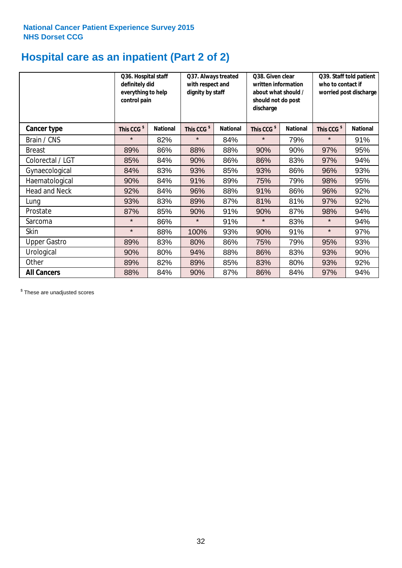# **Hospital care as an inpatient (Part 2 of 2)**

|                      | Q36. Hospital staff<br>definitely did<br>everything to help<br>control pain |                 | Q37. Always treated<br>with respect and<br>dignity by staff |                 | Q38. Given clear<br>written information<br>about what should /<br>should not do post<br>discharge |                 | Q39. Staff told patient<br>who to contact if<br>worried post discharge |                 |
|----------------------|-----------------------------------------------------------------------------|-----------------|-------------------------------------------------------------|-----------------|---------------------------------------------------------------------------------------------------|-----------------|------------------------------------------------------------------------|-----------------|
| <b>Cancer type</b>   | This CCG <sup>\$</sup>                                                      | <b>National</b> | This CCG <sup>\$</sup>                                      | <b>National</b> | This CCG <sup>\$</sup>                                                                            | <b>National</b> | This CCG <sup>\$</sup>                                                 | <b>National</b> |
| Brain / CNS          | $\star$                                                                     | 82%             | $\star$                                                     | 84%             | $\star$                                                                                           | 79%             | $\star$                                                                | 91%             |
| <b>Breast</b>        | 89%                                                                         | 86%             | 88%                                                         | 88%             | 90%                                                                                               | 90%             | 97%                                                                    | 95%             |
| Colorectal / LGT     | 85%                                                                         | 84%             | 90%                                                         | 86%             | 86%                                                                                               | 83%             | 97%                                                                    | 94%             |
| Gynaecological       | 84%                                                                         | 83%             | 93%                                                         | 85%             | 93%                                                                                               | 86%             | 96%                                                                    | 93%             |
| Haematological       | 90%                                                                         | 84%             | 91%                                                         | 89%             | 75%                                                                                               | 79%             | 98%                                                                    | 95%             |
| <b>Head and Neck</b> | 92%                                                                         | 84%             | 96%                                                         | 88%             | 91%                                                                                               | 86%             | 96%                                                                    | 92%             |
| Lung                 | 93%                                                                         | 83%             | 89%                                                         | 87%             | 81%                                                                                               | 81%             | 97%                                                                    | 92%             |
| Prostate             | 87%                                                                         | 85%             | 90%                                                         | 91%             | 90%                                                                                               | 87%             | 98%                                                                    | 94%             |
| Sarcoma              | $\star$                                                                     | 86%             | $\star$                                                     | 91%             | $\star$                                                                                           | 83%             | $\star$                                                                | 94%             |
| Skin                 | $\star$                                                                     | 88%             | 100%                                                        | 93%             | 90%                                                                                               | 91%             | $\star$                                                                | 97%             |
| <b>Upper Gastro</b>  | 89%                                                                         | 83%             | 80%                                                         | 86%             | 75%                                                                                               | 79%             | 95%                                                                    | 93%             |
| Urological           | 90%                                                                         | 80%             | 94%                                                         | 88%             | 86%                                                                                               | 83%             | 93%                                                                    | 90%             |
| Other                | 89%                                                                         | 82%             | 89%                                                         | 85%             | 83%                                                                                               | 80%             | 93%                                                                    | 92%             |
| <b>All Cancers</b>   | 88%                                                                         | 84%             | 90%                                                         | 87%             | 86%                                                                                               | 84%             | 97%                                                                    | 94%             |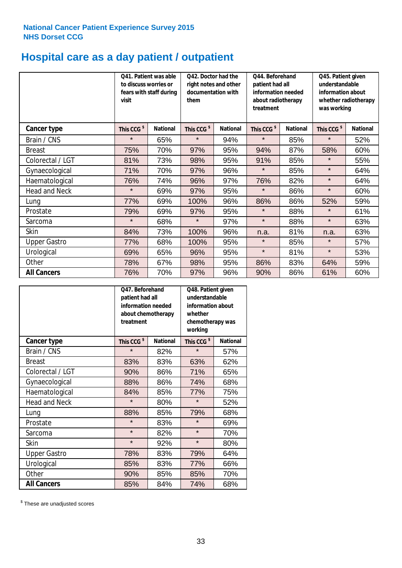# **Hospital care as a day patient / outpatient**

|                      | to discuss worries or<br>visit | Q41. Patient was able<br>fears with staff during | Q42. Doctor had the<br>right notes and other<br>documentation with<br>them |                 | Q44. Beforehand<br>patient had all<br>information needed<br>about radiotherapy<br>treatment |                 | Q45. Patient given<br>understandable<br>information about<br>whether radiotherapy<br>was working |                 |
|----------------------|--------------------------------|--------------------------------------------------|----------------------------------------------------------------------------|-----------------|---------------------------------------------------------------------------------------------|-----------------|--------------------------------------------------------------------------------------------------|-----------------|
| <b>Cancer type</b>   | This CCG <sup>\$</sup>         | <b>National</b>                                  | This CCG <sup>\$</sup>                                                     | <b>National</b> | This CCG <sup>\$</sup>                                                                      | <b>National</b> | This CCG <sup>\$</sup>                                                                           | <b>National</b> |
| Brain / CNS          | $\star$                        | 65%                                              | $\star$                                                                    | 94%             | $\star$                                                                                     | 85%             | $\star$                                                                                          | 52%             |
| <b>Breast</b>        | 75%                            | 70%                                              | 97%                                                                        | 95%             | 94%                                                                                         | 87%             | 58%                                                                                              | 60%             |
| Colorectal / LGT     | 81%                            | 73%                                              | 98%                                                                        | 95%             | 91%                                                                                         | 85%             | $\star$                                                                                          | 55%             |
| Gynaecological       | 71%                            | 70%                                              | 97%                                                                        | 96%             | $\star$                                                                                     | 85%             | $\star$                                                                                          | 64%             |
| Haematological       | 76%                            | 74%                                              | 96%                                                                        | 97%             | 76%                                                                                         | 82%             | $\star$                                                                                          | 64%             |
| <b>Head and Neck</b> | $\star$                        | 69%                                              | 97%                                                                        | 95%             | $\star$                                                                                     | 86%             | $\star$                                                                                          | 60%             |
| Lung                 | 77%                            | 69%                                              | 100%                                                                       | 96%             | 86%                                                                                         | 86%             | 52%                                                                                              | 59%             |
| Prostate             | 79%                            | 69%                                              | 97%                                                                        | 95%             | $\star$                                                                                     | 88%             | $\star$                                                                                          | 61%             |
| Sarcoma              | $\star$                        | 68%                                              | $\star$                                                                    | 97%             | $\star$                                                                                     | 88%             | $\star$                                                                                          | 63%             |
| Skin                 | 84%                            | 73%                                              | 100%                                                                       | 96%             | n.a.                                                                                        | 81%             | n.a.                                                                                             | 63%             |
| <b>Upper Gastro</b>  | 77%                            | 68%                                              | 100%                                                                       | 95%             | $\star$                                                                                     | 85%             | $\star$                                                                                          | 57%             |
| Urological           | 69%                            | 65%                                              | 96%                                                                        | 95%             | $\star$                                                                                     | 81%             | $\star$                                                                                          | 53%             |
| Other                | 78%                            | 67%                                              | 98%                                                                        | 95%             | 86%                                                                                         | 83%             | 64%                                                                                              | 59%             |
| <b>All Cancers</b>   | 76%                            | 70%                                              | 97%                                                                        | 96%             | 90%                                                                                         | 86%             | 61%                                                                                              | 60%             |

|                      | O47. Beforehand<br>patient had all<br>information needed<br>about chemotherapy<br>treatment |                 | Q48. Patient given<br>understandable<br>information about<br>whether<br>chemotherapy was<br>working |                 |  |
|----------------------|---------------------------------------------------------------------------------------------|-----------------|-----------------------------------------------------------------------------------------------------|-----------------|--|
| <b>Cancer type</b>   | This CCG <sup>\$</sup>                                                                      | <b>National</b> | This CCG <sup>\$</sup>                                                                              | <b>National</b> |  |
| Brain / CNS          | $\star$                                                                                     | 82%             | $\star$                                                                                             | 57%             |  |
| <b>Breast</b>        | 83%                                                                                         | 83%             | 63%                                                                                                 | 62%             |  |
| Colorectal / LGT     | 90%                                                                                         | 86%             | 71%                                                                                                 | 65%             |  |
| Gynaecological       | 88%                                                                                         | 86%             | 74%                                                                                                 | 68%             |  |
| Haematological       | 84%<br>85%                                                                                  |                 | 77%                                                                                                 | 75%             |  |
| <b>Head and Neck</b> | $\star$                                                                                     | 80%             | $\star$                                                                                             | 52%             |  |
| Lung                 | 88%                                                                                         | 85%             | 79%                                                                                                 | 68%             |  |
| Prostate             | $\star$                                                                                     | 83%             | $\star$                                                                                             | 69%             |  |
| Sarcoma              | $\star$                                                                                     | 82%             | $\star$                                                                                             | 70%             |  |
| Skin                 | $\star$                                                                                     | 92%             | $\star$                                                                                             | 80%             |  |
| <b>Upper Gastro</b>  | 78%                                                                                         | 83%             | 79%                                                                                                 | 64%             |  |
| Urological           | 85%                                                                                         | 83%             |                                                                                                     | 66%             |  |
| Other                | 90%                                                                                         | 85%             | 85%                                                                                                 | 70%             |  |
| <b>All Cancers</b>   | 85%                                                                                         | 84%             | 74%                                                                                                 | 68%             |  |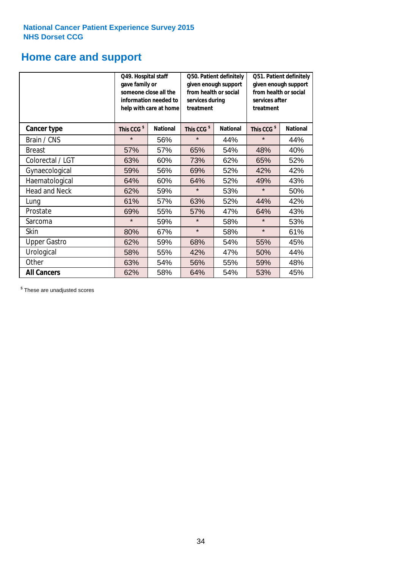# **Home care and support**

|                      | Q49. Hospital staff<br>gave family or                                                  | someone close all the<br>information needed to<br>help with care at home | Q50. Patient definitely<br>given enough support<br>from health or social<br>services during<br>treatment |                 | Q51. Patient definitely<br>given enough support<br>from health or social<br>services after<br>treatment |     |
|----------------------|----------------------------------------------------------------------------------------|--------------------------------------------------------------------------|----------------------------------------------------------------------------------------------------------|-----------------|---------------------------------------------------------------------------------------------------------|-----|
| <b>Cancer type</b>   | This CCG <sup>\$</sup><br><b>National</b><br>This CCG <sup>\$</sup><br><b>National</b> |                                                                          | This CCG <sup>\$</sup>                                                                                   | <b>National</b> |                                                                                                         |     |
| Brain / CNS          | $\star$                                                                                | 56%                                                                      | $\star$                                                                                                  | 44%             | $\star$                                                                                                 | 44% |
| <b>Breast</b>        | 57%                                                                                    | 57%                                                                      | 65%                                                                                                      | 54%             | 48%                                                                                                     | 40% |
| Colorectal / LGT     | 63%                                                                                    | 60%                                                                      | 73%                                                                                                      | 62%             | 65%                                                                                                     | 52% |
| Gynaecological       | 59%                                                                                    | 56%                                                                      | 69%                                                                                                      | 52%             | 42%                                                                                                     | 42% |
| Haematological       | 64%                                                                                    | 60%                                                                      | 64%                                                                                                      | 52%             | 49%                                                                                                     | 43% |
| <b>Head and Neck</b> | 62%                                                                                    | 59%                                                                      | $\star$                                                                                                  | 53%             | $\star$                                                                                                 | 50% |
| Lung                 | 61%                                                                                    | 57%                                                                      | 63%                                                                                                      | 52%             | 44%                                                                                                     | 42% |
| Prostate             | 69%                                                                                    | 55%                                                                      | 57%                                                                                                      | 47%             | 64%                                                                                                     | 43% |
| Sarcoma              | $\star$                                                                                | 59%                                                                      | $\star$                                                                                                  | 58%             | $\star$                                                                                                 | 53% |
| Skin                 | 80%                                                                                    | 67%                                                                      | $\star$                                                                                                  | 58%             | $\star$                                                                                                 | 61% |
| <b>Upper Gastro</b>  | 62%                                                                                    | 59%                                                                      | 68%                                                                                                      | 54%             | 55%                                                                                                     | 45% |
| Urological           | 58%                                                                                    | 55%                                                                      | 42%                                                                                                      | 47%             | 50%                                                                                                     | 44% |
| Other                | 63%                                                                                    | 54%                                                                      | 56%                                                                                                      | 55%             | 59%                                                                                                     | 48% |
| <b>All Cancers</b>   | 62%                                                                                    | 58%                                                                      | 64%                                                                                                      | 54%             | 53%                                                                                                     | 45% |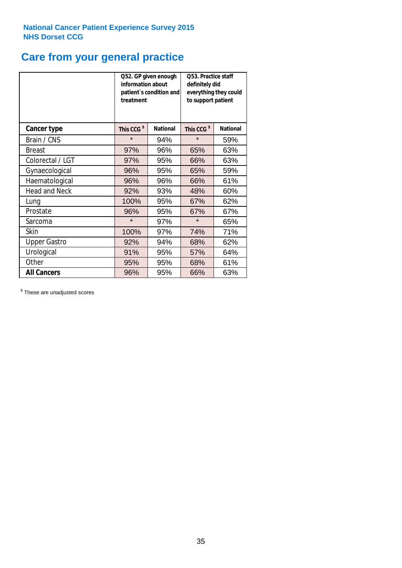# **Care from your general practice**

|                      | information about<br>treatment | Q52. GP given enough<br>patient's condition and | <b>O53. Practice staff</b><br>definitely did<br>everything they could<br>to support patient |                 |  |
|----------------------|--------------------------------|-------------------------------------------------|---------------------------------------------------------------------------------------------|-----------------|--|
| <b>Cancer type</b>   | This CCG <sup>\$</sup>         | <b>National</b>                                 | This CCG <sup>\$</sup>                                                                      | <b>National</b> |  |
| Brain / CNS          | $\star$                        | 94%                                             | $\star$                                                                                     | 59%             |  |
| <b>Breast</b>        | 97%                            | 96%                                             | 65%                                                                                         | 63%             |  |
| Colorectal / LGT     | 97%                            | 95%                                             | 66%                                                                                         | 63%             |  |
| Gynaecological       | 96%                            | 95%                                             | 65%                                                                                         | 59%             |  |
| Haematological       | 96%                            | 96%                                             | 66%                                                                                         | 61%             |  |
| <b>Head and Neck</b> | 92%                            | 93%                                             | 48%                                                                                         | 60%             |  |
| Lung                 | 100%                           | 95%                                             | 67%                                                                                         | 62%             |  |
| Prostate             | 96%                            | 95%                                             | 67%                                                                                         | 67%             |  |
| Sarcoma              | $\star$                        | 97%                                             | $\star$                                                                                     | 65%             |  |
| <b>Skin</b>          | 100%                           | 97%                                             | 74%                                                                                         | 71%             |  |
| <b>Upper Gastro</b>  | 92%                            | 94%                                             | 68%                                                                                         | 62%             |  |
| Urological           | 91%                            | 95%                                             | 57%                                                                                         | 64%             |  |
| Other                | 95%                            | 95%                                             | 68%                                                                                         | 61%             |  |
| <b>All Cancers</b>   | 96%                            | 95%                                             | 66%                                                                                         | 63%             |  |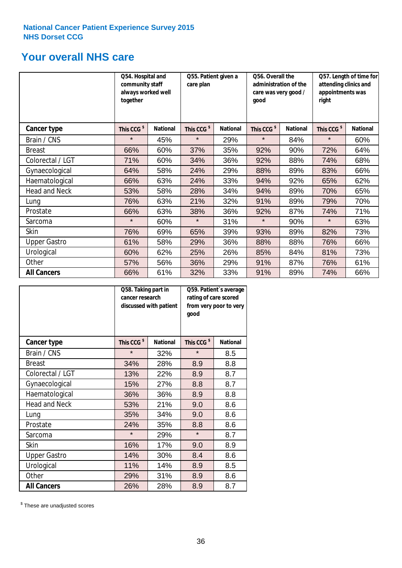# **Your overall NHS care**

|                      | Q54. Hospital and<br>community staff<br>always worked well<br>together |                 | Q55. Patient given a<br>care plan |                 | Q56. Overall the<br>administration of the<br>care was very good /<br>qood |                 | Q57. Length of time for<br>attending clinics and<br>appointments was<br>right |                 |
|----------------------|------------------------------------------------------------------------|-----------------|-----------------------------------|-----------------|---------------------------------------------------------------------------|-----------------|-------------------------------------------------------------------------------|-----------------|
| Cancer type          | This CCG <sup>\$</sup>                                                 | <b>National</b> | This CCG <sup>\$</sup>            | <b>National</b> | This CCG <sup>\$</sup>                                                    | <b>National</b> | This CCG <sup>\$</sup>                                                        | <b>National</b> |
| Brain / CNS          | $\star$                                                                | 45%             | $\star$                           | 29%             | $\star$                                                                   | 84%             | $\star$                                                                       | 60%             |
| <b>Breast</b>        | 66%                                                                    | 60%             | 37%                               | 35%             | 92%                                                                       | 90%             | 72%                                                                           | 64%             |
| Colorectal / LGT     | 71%                                                                    | 60%             | 34%                               | 36%             | 92%                                                                       | 88%             | 74%                                                                           | 68%             |
| Gynaecological       | 64%                                                                    | 58%             | 24%                               | 29%             | 88%                                                                       | 89%             | 83%                                                                           | 66%             |
| Haematological       | 66%                                                                    | 63%             | 24%                               | 33%             | 94%                                                                       | 92%             | 65%                                                                           | 62%             |
| <b>Head and Neck</b> | 53%                                                                    | 58%             | 28%                               | 34%             | 94%                                                                       | 89%             | 70%                                                                           | 65%             |
| Lung                 | 76%                                                                    | 63%             | 21%                               | 32%             | 91%                                                                       | 89%             | 79%                                                                           | 70%             |
| Prostate             | 66%                                                                    | 63%             | 38%                               | 36%             | 92%                                                                       | 87%             | 74%                                                                           | 71%             |
| Sarcoma              | $\star$                                                                | 60%             | $\star$                           | 31%             | $\star$                                                                   | 90%             | $\star$                                                                       | 63%             |
| Skin                 | 76%                                                                    | 69%             | 65%                               | 39%             | 93%                                                                       | 89%             | 82%                                                                           | 73%             |
| <b>Upper Gastro</b>  | 61%                                                                    | 58%             | 29%                               | 36%             | 88%                                                                       | 88%             | 76%                                                                           | 66%             |
| Urological           | 60%                                                                    | 62%             | 25%                               | 26%             | 85%                                                                       | 84%             | 81%                                                                           | 73%             |
| Other                | 57%                                                                    | 56%             | 36%                               | 29%             | 91%                                                                       | 87%             | 76%                                                                           | 61%             |
| <b>All Cancers</b>   | 66%                                                                    | 61%             | 32%                               | 33%             | 91%                                                                       | 89%             | 74%                                                                           | 66%             |

|                      | Q58. Taking part in<br>cancer research | discussed with patient | Q59. Patient's average<br>rating of care scored<br>from very poor to very<br>good |                 |  |
|----------------------|----------------------------------------|------------------------|-----------------------------------------------------------------------------------|-----------------|--|
| <b>Cancer type</b>   | This CCG <sup>\$</sup>                 | <b>National</b>        | This CCG <sup>\$</sup>                                                            | <b>National</b> |  |
| Brain / CNS          | $\star$                                | 32%                    | $\star$                                                                           | 8.5             |  |
| <b>Breast</b>        | 34%                                    | 28%                    | 8.9                                                                               | 8.8             |  |
| Colorectal / LGT     | 13%                                    | 22%                    | 8.9                                                                               | 8.7             |  |
| Gynaecological       | 15%                                    | 27%                    | 8.8                                                                               | 8.7             |  |
| Haematological       | 36%                                    | 36%                    | 8.9                                                                               | 8.8             |  |
| <b>Head and Neck</b> | 53%                                    | 21%                    | 9.0                                                                               | 8.6             |  |
| Lung                 | 35%                                    | 34%                    | 9.0                                                                               | 8.6             |  |
| Prostate             | 24%                                    | 35%                    | 8.8                                                                               | 8.6             |  |
| Sarcoma              | $\star$                                | 29%                    | $\star$                                                                           | 8.7             |  |
| <b>Skin</b>          | 16%                                    | 17%                    | 9.0                                                                               | 8.9             |  |
| <b>Upper Gastro</b>  | 14%                                    | 30%                    | 8.4                                                                               | 8.6             |  |
| Urological           | 11%                                    | 14%                    | 8.9                                                                               | 8.5             |  |
| Other                | 29%                                    | 31%                    | 8.9                                                                               | 8.6             |  |
| <b>All Cancers</b>   | 26%                                    | 28%                    | 8.9                                                                               | 8.7             |  |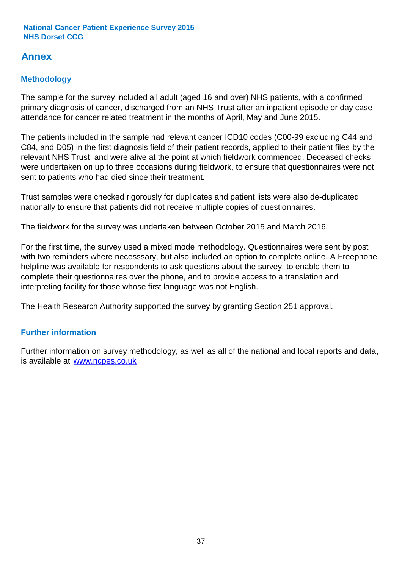# **Annex**

# **Methodology**

The sample for the survey included all adult (aged 16 and over) NHS patients, with a confirmed primary diagnosis of cancer, discharged from an NHS Trust after an inpatient episode or day case attendance for cancer related treatment in the months of April, May and June 2015.

The patients included in the sample had relevant cancer ICD10 codes (C00-99 excluding C44 and C84, and D05) in the first diagnosis field of their patient records, applied to their patient files by the relevant NHS Trust, and were alive at the point at which fieldwork commenced. Deceased checks were undertaken on up to three occasions during fieldwork, to ensure that questionnaires were not sent to patients who had died since their treatment.

Trust samples were checked rigorously for duplicates and patient lists were also de-duplicated nationally to ensure that patients did not receive multiple copies of questionnaires.

The fieldwork for the survey was undertaken between October 2015 and March 2016.

For the first time, the survey used a mixed mode methodology. Questionnaires were sent by post with two reminders where necesssary, but also included an option to complete online. A Freephone helpline was available for respondents to ask questions about the survey, to enable them to complete their questionnaires over the phone, and to provide access to a translation and interpreting facility for those whose first language was not English.

The Health Research Authority supported the survey by granting Section 251 approval.

## **Further information**

Further information on survey methodology, as well as all of the national and local reports and data, is available at www.ncpes.co.uk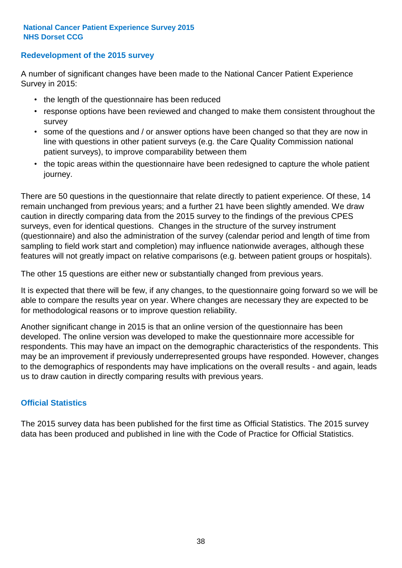### **Redevelopment of the 2015 survey**

A number of significant changes have been made to the National Cancer Patient Experience Survey in 2015:

- the length of the questionnaire has been reduced
- response options have been reviewed and changed to make them consistent throughout the survey
- some of the questions and / or answer options have been changed so that they are now in line with questions in other patient surveys (e.g. the Care Quality Commission national patient surveys), to improve comparability between them
- the topic areas within the questionnaire have been redesigned to capture the whole patient journey.

There are 50 questions in the questionnaire that relate directly to patient experience. Of these, 14 remain unchanged from previous years; and a further 21 have been slightly amended. We draw caution in directly comparing data from the 2015 survey to the findings of the previous CPES surveys, even for identical questions. Changes in the structure of the survey instrument (questionnaire) and also the administration of the survey (calendar period and length of time from sampling to field work start and completion) may influence nationwide averages, although these features will not greatly impact on relative comparisons (e.g. between patient groups or hospitals).

The other 15 questions are either new or substantially changed from previous years.

It is expected that there will be few, if any changes, to the questionnaire going forward so we will be able to compare the results year on year. Where changes are necessary they are expected to be for methodological reasons or to improve question reliability.

Another significant change in 2015 is that an online version of the questionnaire has been developed. The online version was developed to make the questionnaire more accessible for respondents. This may have an impact on the demographic characteristics of the respondents. This may be an improvement if previously underrepresented groups have responded. However, changes to the demographics of respondents may have implications on the overall results - and again, leads us to draw caution in directly comparing results with previous years.

### **Official Statistics**

The 2015 survey data has been published for the first time as Official Statistics. The 2015 survey data has been produced and published in line with the Code of Practice for Official Statistics.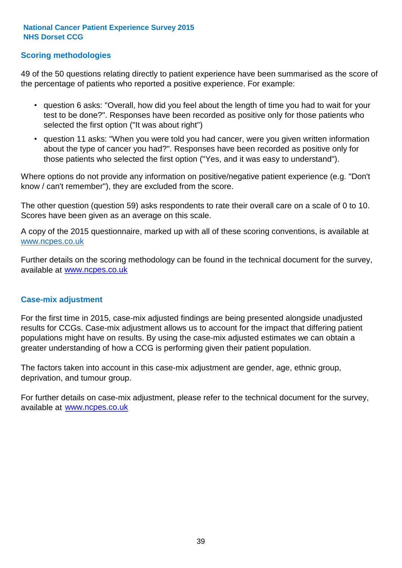### **Scoring methodologies**

49 of the 50 questions relating directly to patient experience have been summarised as the score of the percentage of patients who reported a positive experience. For example:

- question 6 asks: "Overall, how did you feel about the length of time you had to wait for your test to be done?". Responses have been recorded as positive only for those patients who selected the first option ("It was about right")
- question 11 asks: "When you were told you had cancer, were you given written information about the type of cancer you had?". Responses have been recorded as positive only for those patients who selected the first option ("Yes, and it was easy to understand").

Where options do not provide any information on positive/negative patient experience (e.g. "Don't know / can't remember"), they are excluded from the score.

The other question (question 59) asks respondents to rate their overall care on a scale of 0 to 10. Scores have been given as an average on this scale.

A copy of the 2015 questionnaire, marked up with all of these scoring conventions, is available at www.ncpes.co.uk

Further details on the scoring methodology can be found in the technical document for the survey, available at <u>www.ncpes.co.uk</u>

#### **Case-mix adjustment**

For the first time in 2015, case-mix adjusted findings are being presented alongside unadjusted results for CCGs. Case-mix adjustment allows us to account for the impact that differing patient populations might have on results. By using the case-mix adjusted estimates we can obtain a greater understanding of how a CCG is performing given their patient population.

The factors taken into account in this case-mix adjustment are gender, age, ethnic group, deprivation, and tumour group.

For further details on case-mix adjustment, please refer to the technical document for the survey, available at www.ncpes.co.uk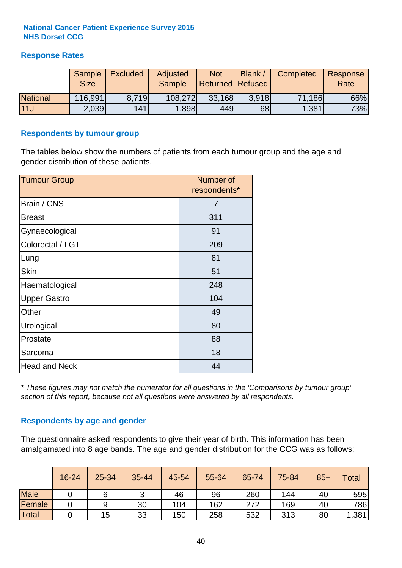### **Response Rates**

|                 | Sample      | <b>Excluded</b> | Adjusted      | <b>Not</b>              | Blank / | Completed | Response |
|-----------------|-------------|-----------------|---------------|-------------------------|---------|-----------|----------|
|                 | <b>Size</b> |                 | <b>Sample</b> | <b>Returned Refused</b> |         |           | Rate     |
| <b>National</b> | 116,991     | 8.719           | 108,272       | 33,168                  | 3.918   | 71,186    | 66%      |
| 11J             | 2.039       | 141             | 1,898         | 449                     | 68      | 1,381     | 73%      |

#### **Respondents by tumour group**

The tables below show the numbers of patients from each tumour group and the age and gender distribution of these patients.

| <b>Tumour Group</b>  | Number of<br>respondents* |
|----------------------|---------------------------|
| Brain / CNS          | 7                         |
| <b>Breast</b>        | 311                       |
| Gynaecological       | 91                        |
| Colorectal / LGT     | 209                       |
| Lung                 | 81                        |
| <b>Skin</b>          | 51                        |
| Haematological       | 248                       |
| <b>Upper Gastro</b>  | 104                       |
| Other                | 49                        |
| Urological           | 80                        |
| Prostate             | 88                        |
| Sarcoma              | 18                        |
| <b>Head and Neck</b> | 44                        |

*\* These figures may not match the numerator for all questions in the 'Comparisons by tumour group' section of this report, because not all questions were answered by all respondents.*

### **Respondents by age and gender**

The questionnaire asked respondents to give their year of birth. This information has been amalgamated into 8 age bands. The age and gender distribution for the CCG was as follows:

|             | 16-24 | 25-34 | 35-44 | 45-54 | 55-64 | 65-74 | 75-84 | $85+$ | Total |
|-------------|-------|-------|-------|-------|-------|-------|-------|-------|-------|
| <b>Male</b> |       | 6     | ັ     | 46    | 96    | 260   | 144   | 40    | 595   |
| Female      |       |       | 30    | 104   | 162   | 272   | 169   | 40    | 786   |
| Total       |       | 15    | 33    | 150   | 258   | 532   | 313   | 80    | , 381 |